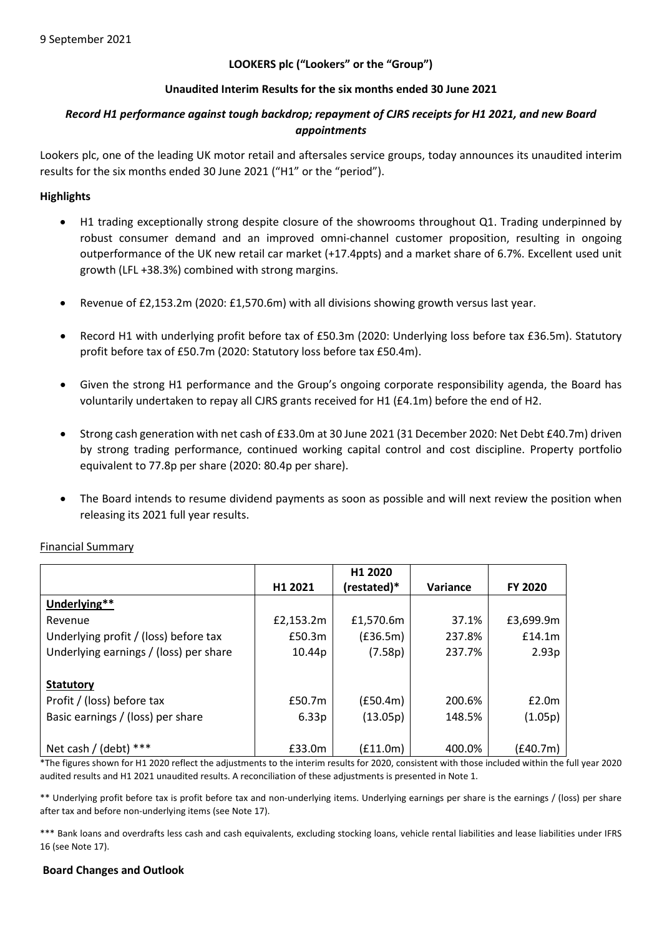# **LOOKERS plc ("Lookers" or the "Group")**

# **Unaudited Interim Results for the six months ended 30 June 2021**

# *Record H1 performance against tough backdrop; repayment of CJRS receipts for H1 2021, and new Board appointments*

Lookers plc, one of the leading UK motor retail and aftersales service groups, today announces its unaudited interim results for the six months ended 30 June 2021 ("H1" or the "period").

# **Highlights**

- H1 trading exceptionally strong despite closure of the showrooms throughout Q1. Trading underpinned by robust consumer demand and an improved omni-channel customer proposition, resulting in ongoing outperformance of the UK new retail car market (+17.4ppts) and a market share of 6.7%. Excellent used unit growth (LFL +38.3%) combined with strong margins.
- Revenue of £2,153.2m (2020: £1,570.6m) with all divisions showing growth versus last year.
- Record H1 with underlying profit before tax of £50.3m (2020: Underlying loss before tax £36.5m). Statutory profit before tax of £50.7m (2020: Statutory loss before tax £50.4m).
- Given the strong H1 performance and the Group's ongoing corporate responsibility agenda, the Board has voluntarily undertaken to repay all CJRS grants received for H1 (£4.1m) before the end of H2.
- Strong cash generation with net cash of £33.0m at 30 June 2021 (31 December 2020: Net Debt £40.7m) driven by strong trading performance, continued working capital control and cost discipline. Property portfolio equivalent to 77.8p per share (2020: 80.4p per share).
- The Board intends to resume dividend payments as soon as possible and will next review the position when releasing its 2021 full year results.

|                                        |           | H1 2020     |          |                |
|----------------------------------------|-----------|-------------|----------|----------------|
|                                        | H1 2021   | (restated)* | Variance | <b>FY 2020</b> |
| Underlying**                           |           |             |          |                |
| Revenue                                | £2,153.2m | £1,570.6m   | 37.1%    | £3,699.9m      |
| Underlying profit / (loss) before tax  | £50.3m    | (E36.5m)    | 237.8%   | £14.1m         |
| Underlying earnings / (loss) per share | 10.44p    | (7.58p)     | 237.7%   | 2.93p          |
|                                        |           |             |          |                |
| <b>Statutory</b>                       |           |             |          |                |
| Profit / (loss) before tax             | £50.7m    | (f50.4m)    | 200.6%   | £2.0m          |
| Basic earnings / (loss) per share      | 6.33p     | (13.05p)    | 148.5%   | (1.05p)        |
|                                        |           |             |          |                |
| Net cash / (debt) $***$                | £33.0m    | (£11.0m)    | 400.0%   | (£40.7m)       |

# Financial Summary

\*The figures shown for H1 2020 reflect the adjustments to the interim results for 2020, consistent with those included within the full year 2020 audited results and H1 2021 unaudited results. A reconciliation of these adjustments is presented in Note 1.

\*\* Underlying profit before tax is profit before tax and non-underlying items. Underlying earnings per share is the earnings / (loss) per share after tax and before non-underlying items (see Note 17).

\*\*\* Bank loans and overdrafts less cash and cash equivalents, excluding stocking loans, vehicle rental liabilities and lease liabilities under IFRS 16 (see Note 17).

# **Board Changes and Outlook**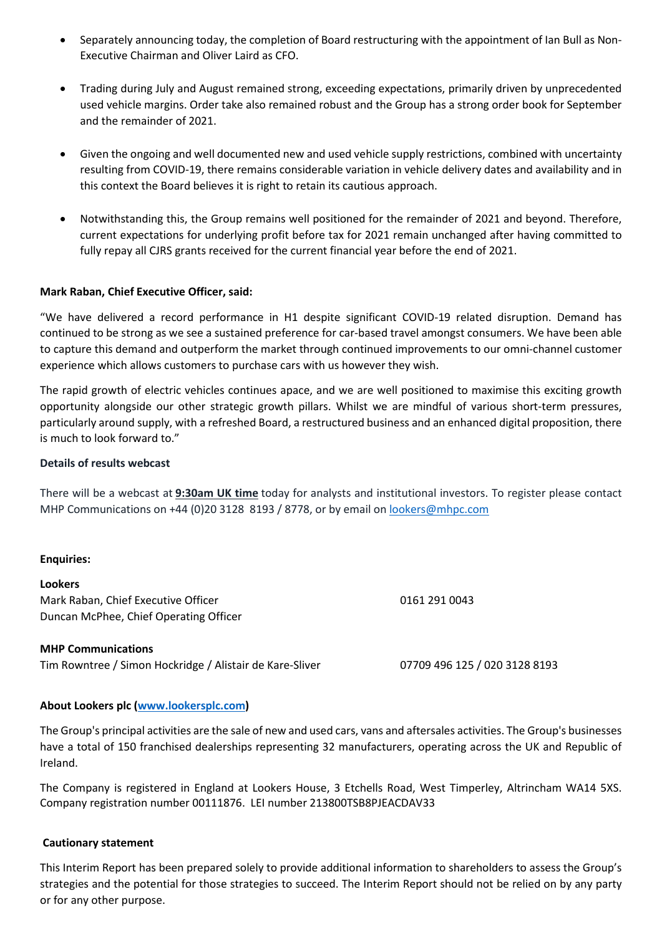- Separately announcing today, the completion of Board restructuring with the appointment of Ian Bull as Non-Executive Chairman and Oliver Laird as CFO.
- Trading during July and August remained strong, exceeding expectations, primarily driven by unprecedented used vehicle margins. Order take also remained robust and the Group has a strong order book for September and the remainder of 2021.
- Given the ongoing and well documented new and used vehicle supply restrictions, combined with uncertainty resulting from COVID-19, there remains considerable variation in vehicle delivery dates and availability and in this context the Board believes it is right to retain its cautious approach.
- Notwithstanding this, the Group remains well positioned for the remainder of 2021 and beyond. Therefore, current expectations for underlying profit before tax for 2021 remain unchanged after having committed to fully repay all CJRS grants received for the current financial year before the end of 2021.

# **Mark Raban, Chief Executive Officer, said:**

"We have delivered a record performance in H1 despite significant COVID-19 related disruption. Demand has continued to be strong as we see a sustained preference for car-based travel amongst consumers. We have been able to capture this demand and outperform the market through continued improvements to our omni-channel customer experience which allows customers to purchase cars with us however they wish.

The rapid growth of electric vehicles continues apace, and we are well positioned to maximise this exciting growth opportunity alongside our other strategic growth pillars. Whilst we are mindful of various short-term pressures, particularly around supply, with a refreshed Board, a restructured business and an enhanced digital proposition, there is much to look forward to."

### **Details of results webcast**

There will be a webcast at **9:30am UK time** today for analysts and institutional investors. To register please contact MHP Communications on +44 (0)20 3128 8193 / 8778, or by email on [lookers@mhpc.com](mailto:lookers@mhpc.com)

#### **Enquiries:**

**Lookers** Mark Raban, Chief Executive Officer 0161 291 0043 Duncan McPhee, Chief Operating Officer

**MHP Communications** Tim Rowntree / Simon Hockridge / Alistair de Kare-Sliver 07709 496 125 / 020 3128 8193

# **About Lookers plc [\(www.lookersplc.com\)](http://www.lookersplc.com/)**

The Group's principal activities are the sale of new and used cars, vans and aftersales activities. The Group's businesses have a total of 150 franchised dealerships representing 32 manufacturers, operating across the UK and Republic of Ireland.

The Company is registered in England at Lookers House, 3 Etchells Road, West Timperley, Altrincham WA14 5XS. Company registration number 00111876. LEI number 213800TSB8PJEACDAV33

# **Cautionary statement**

This Interim Report has been prepared solely to provide additional information to shareholders to assess the Group's strategies and the potential for those strategies to succeed. The Interim Report should not be relied on by any party or for any other purpose.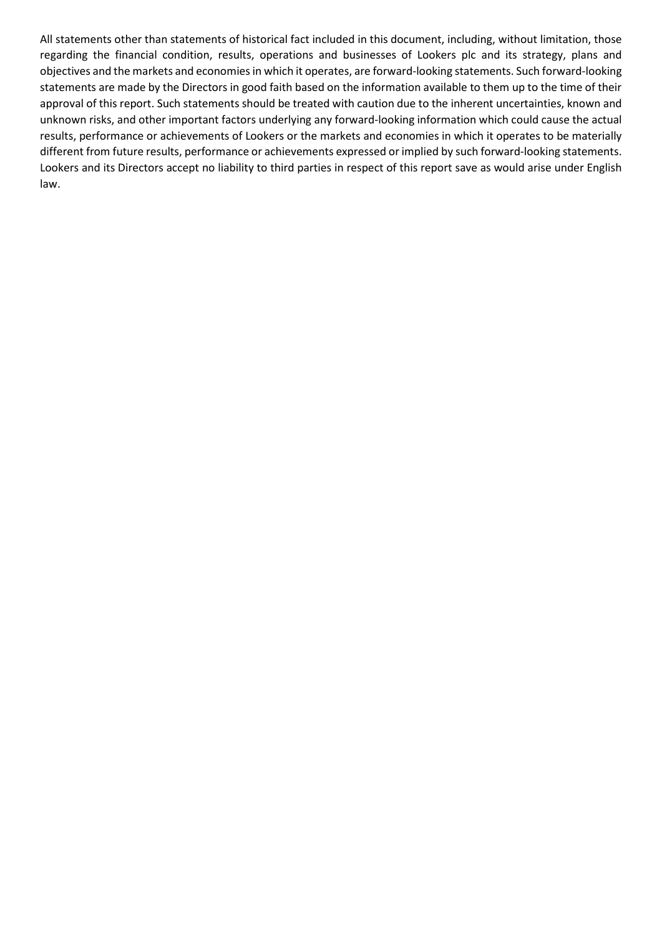All statements other than statements of historical fact included in this document, including, without limitation, those regarding the financial condition, results, operations and businesses of Lookers plc and its strategy, plans and objectives and the markets and economies in which it operates, are forward-looking statements. Such forward-looking statements are made by the Directors in good faith based on the information available to them up to the time of their approval of this report. Such statements should be treated with caution due to the inherent uncertainties, known and unknown risks, and other important factors underlying any forward-looking information which could cause the actual results, performance or achievements of Lookers or the markets and economies in which it operates to be materially different from future results, performance or achievements expressed or implied by such forward-looking statements. Lookers and its Directors accept no liability to third parties in respect of this report save as would arise under English law.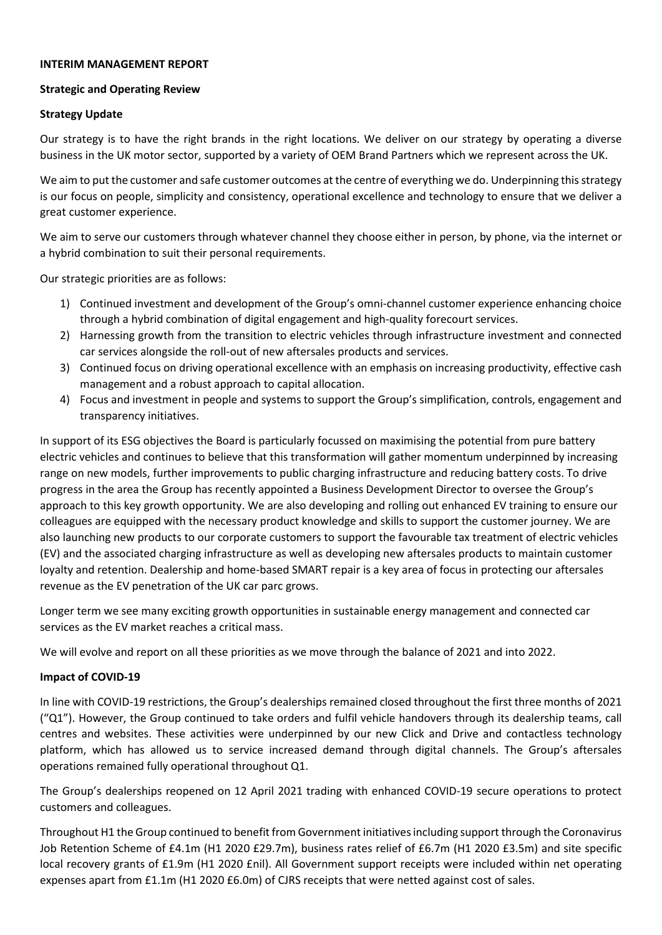### **INTERIM MANAGEMENT REPORT**

### **Strategic and Operating Review**

# **Strategy Update**

Our strategy is to have the right brands in the right locations. We deliver on our strategy by operating a diverse business in the UK motor sector, supported by a variety of OEM Brand Partners which we represent across the UK.

We aim to put the customer and safe customer outcomes at the centre of everything we do. Underpinning this strategy is our focus on people, simplicity and consistency, operational excellence and technology to ensure that we deliver a great customer experience.

We aim to serve our customers through whatever channel they choose either in person, by phone, via the internet or a hybrid combination to suit their personal requirements.

Our strategic priorities are as follows:

- 1) Continued investment and development of the Group's omni-channel customer experience enhancing choice through a hybrid combination of digital engagement and high-quality forecourt services.
- 2) Harnessing growth from the transition to electric vehicles through infrastructure investment and connected car services alongside the roll-out of new aftersales products and services.
- 3) Continued focus on driving operational excellence with an emphasis on increasing productivity, effective cash management and a robust approach to capital allocation.
- 4) Focus and investment in people and systems to support the Group's simplification, controls, engagement and transparency initiatives.

In support of its ESG objectives the Board is particularly focussed on maximising the potential from pure battery electric vehicles and continues to believe that this transformation will gather momentum underpinned by increasing range on new models, further improvements to public charging infrastructure and reducing battery costs. To drive progress in the area the Group has recently appointed a Business Development Director to oversee the Group's approach to this key growth opportunity. We are also developing and rolling out enhanced EV training to ensure our colleagues are equipped with the necessary product knowledge and skills to support the customer journey. We are also launching new products to our corporate customers to support the favourable tax treatment of electric vehicles (EV) and the associated charging infrastructure as well as developing new aftersales products to maintain customer loyalty and retention. Dealership and home-based SMART repair is a key area of focus in protecting our aftersales revenue as the EV penetration of the UK car parc grows.

Longer term we see many exciting growth opportunities in sustainable energy management and connected car services as the EV market reaches a critical mass.

We will evolve and report on all these priorities as we move through the balance of 2021 and into 2022.

# **Impact of COVID-19**

In line with COVID-19 restrictions, the Group's dealerships remained closed throughout the first three months of 2021 ("Q1"). However, the Group continued to take orders and fulfil vehicle handovers through its dealership teams, call centres and websites. These activities were underpinned by our new Click and Drive and contactless technology platform, which has allowed us to service increased demand through digital channels. The Group's aftersales operations remained fully operational throughout Q1.

The Group's dealerships reopened on 12 April 2021 trading with enhanced COVID-19 secure operations to protect customers and colleagues.

Throughout H1 the Group continued to benefit from Government initiatives including support through the Coronavirus Job Retention Scheme of £4.1m (H1 2020 £29.7m), business rates relief of £6.7m (H1 2020 £3.5m) and site specific local recovery grants of £1.9m (H1 2020 £nil). All Government support receipts were included within net operating expenses apart from £1.1m (H1 2020 £6.0m) of CJRS receipts that were netted against cost of sales.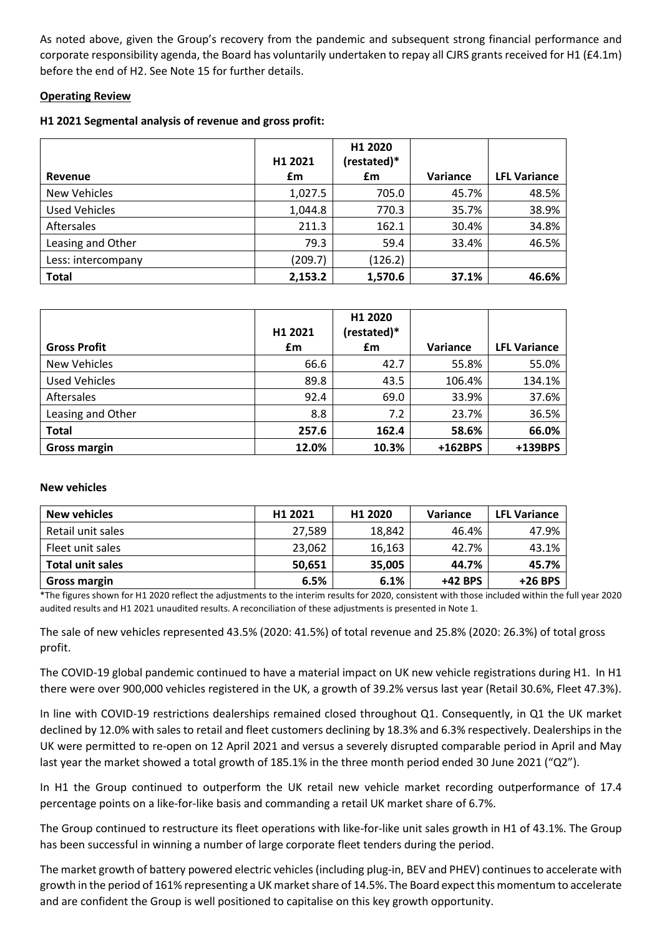As noted above, given the Group's recovery from the pandemic and subsequent strong financial performance and corporate responsibility agenda, the Board has voluntarily undertaken to repay all CJRS grants received for H1 (£4.1m) before the end of H2. See Note 15 for further details.

# **Operating Review**

# **H1 2021 Segmental analysis of revenue and gross profit:**

|                      | H1 2021 | H1 2020<br>(restated)* |                 |                     |
|----------------------|---------|------------------------|-----------------|---------------------|
| Revenue              | £m      | £m                     | <b>Variance</b> | <b>LFL Variance</b> |
| <b>New Vehicles</b>  | 1,027.5 | 705.0                  | 45.7%           | 48.5%               |
| <b>Used Vehicles</b> | 1,044.8 | 770.3                  | 35.7%           | 38.9%               |
| Aftersales           | 211.3   | 162.1                  | 30.4%           | 34.8%               |
| Leasing and Other    | 79.3    | 59.4                   | 33.4%           | 46.5%               |
| Less: intercompany   | (209.7) | (126.2)                |                 |                     |
| <b>Total</b>         | 2,153.2 | 1,570.6                | 37.1%           | 46.6%               |

| <b>Gross Profit</b>  | H <sub>1</sub> 2021<br>£m | H1 2020<br>(restated)*<br>£m | Variance | <b>LFL Variance</b> |
|----------------------|---------------------------|------------------------------|----------|---------------------|
| <b>New Vehicles</b>  | 66.6                      | 42.7                         | 55.8%    | 55.0%               |
| <b>Used Vehicles</b> | 89.8                      | 43.5                         | 106.4%   | 134.1%              |
| Aftersales           | 92.4                      | 69.0                         | 33.9%    | 37.6%               |
| Leasing and Other    | 8.8                       | 7.2                          | 23.7%    | 36.5%               |
| <b>Total</b>         | 257.6                     | 162.4                        | 58.6%    | 66.0%               |
| <b>Gross margin</b>  | 12.0%                     | 10.3%                        | +162BPS  | +139BPS             |

# **New vehicles**

| <b>New vehicles</b>     | H1 2021 | H1 2020 | Variance | <b>LFL Variance</b> |
|-------------------------|---------|---------|----------|---------------------|
| Retail unit sales       | 27,589  | 18,842  | 46.4%    | 47.9%               |
| Fleet unit sales        | 23,062  | 16,163  | 42.7%    | 43.1%               |
| <b>Total unit sales</b> | 50,651  | 35,005  | 44.7%    | 45.7%               |
| <b>Gross margin</b>     | 6.5%    | 6.1%    | +42 BPS  | $+26$ BPS           |

\*The figures shown for H1 2020 reflect the adjustments to the interim results for 2020, consistent with those included within the full year 2020 audited results and H1 2021 unaudited results. A reconciliation of these adjustments is presented in Note 1.

The sale of new vehicles represented 43.5% (2020: 41.5%) of total revenue and 25.8% (2020: 26.3%) of total gross profit.

The COVID-19 global pandemic continued to have a material impact on UK new vehicle registrations during H1. In H1 there were over 900,000 vehicles registered in the UK, a growth of 39.2% versus last year (Retail 30.6%, Fleet 47.3%).

In line with COVID-19 restrictions dealerships remained closed throughout Q1. Consequently, in Q1 the UK market declined by 12.0% with sales to retail and fleet customers declining by 18.3% and 6.3% respectively. Dealerships in the UK were permitted to re-open on 12 April 2021 and versus a severely disrupted comparable period in April and May last year the market showed a total growth of 185.1% in the three month period ended 30 June 2021 ("Q2").

In H1 the Group continued to outperform the UK retail new vehicle market recording outperformance of 17.4 percentage points on a like-for-like basis and commanding a retail UK market share of 6.7%.

The Group continued to restructure its fleet operations with like-for-like unit sales growth in H1 of 43.1%. The Group has been successful in winning a number of large corporate fleet tenders during the period.

The market growth of battery powered electric vehicles(including plug-in, BEV and PHEV) continues to accelerate with growth in the period of 161% representing a UK market share of 14.5%. The Board expect this momentum to accelerate and are confident the Group is well positioned to capitalise on this key growth opportunity.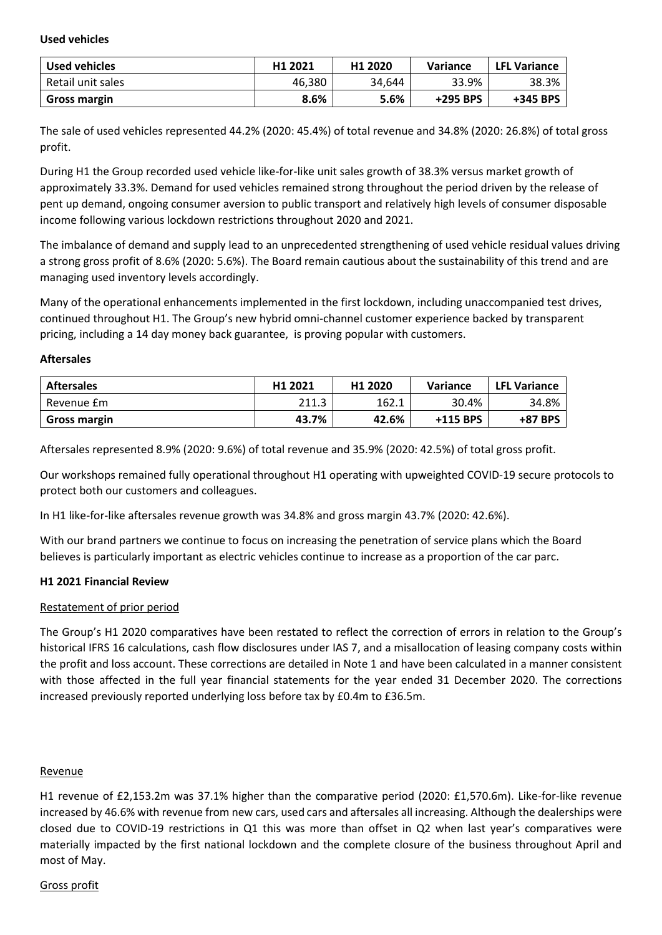**Used vehicles**

| Used vehicles     | H <sub>1</sub> 2021 | H <sub>1</sub> 2020 | Variance | <b>LFL Variance</b> |
|-------------------|---------------------|---------------------|----------|---------------------|
| Retail unit sales | 46.380              | 34.644              | 33.9%    | 38.3%               |
| Gross margin      | 8.6%                | 5.6%                | +295 BPS | +345 BPS            |

The sale of used vehicles represented 44.2% (2020: 45.4%) of total revenue and 34.8% (2020: 26.8%) of total gross profit.

During H1 the Group recorded used vehicle like-for-like unit sales growth of 38.3% versus market growth of approximately 33.3%. Demand for used vehicles remained strong throughout the period driven by the release of pent up demand, ongoing consumer aversion to public transport and relatively high levels of consumer disposable income following various lockdown restrictions throughout 2020 and 2021.

The imbalance of demand and supply lead to an unprecedented strengthening of used vehicle residual values driving a strong gross profit of 8.6% (2020: 5.6%). The Board remain cautious about the sustainability of this trend and are managing used inventory levels accordingly.

Many of the operational enhancements implemented in the first lockdown, including unaccompanied test drives, continued throughout H1. The Group's new hybrid omni-channel customer experience backed by transparent pricing, including a 14 day money back guarantee, is proving popular with customers.

### **Aftersales**

| <b>Aftersales</b>   | H <sub>1</sub> 2021 | H <sub>1</sub> 2020 | Variance | <b>LFL Variance</b> |
|---------------------|---------------------|---------------------|----------|---------------------|
| Revenue £m          | 211.3               | 162.1               | 30.4%    | 34.8%               |
| <b>Gross margin</b> | 43.7%               | 42.6%               | +115 BPS | +87 BPS             |

Aftersales represented 8.9% (2020: 9.6%) of total revenue and 35.9% (2020: 42.5%) of total gross profit.

Our workshops remained fully operational throughout H1 operating with upweighted COVID-19 secure protocols to protect both our customers and colleagues.

In H1 like-for-like aftersales revenue growth was 34.8% and gross margin 43.7% (2020: 42.6%).

With our brand partners we continue to focus on increasing the penetration of service plans which the Board believes is particularly important as electric vehicles continue to increase as a proportion of the car parc.

# **H1 2021 Financial Review**

# Restatement of prior period

The Group's H1 2020 comparatives have been restated to reflect the correction of errors in relation to the Group's historical IFRS 16 calculations, cash flow disclosures under IAS 7, and a misallocation of leasing company costs within the profit and loss account. These corrections are detailed in Note 1 and have been calculated in a manner consistent with those affected in the full year financial statements for the year ended 31 December 2020. The corrections increased previously reported underlying loss before tax by £0.4m to £36.5m.

# Revenue

H1 revenue of £2,153.2m was 37.1% higher than the comparative period (2020: £1,570.6m). Like-for-like revenue increased by 46.6% with revenue from new cars, used cars and aftersales all increasing. Although the dealerships were closed due to COVID-19 restrictions in Q1 this was more than offset in Q2 when last year's comparatives were materially impacted by the first national lockdown and the complete closure of the business throughout April and most of May.

# Gross profit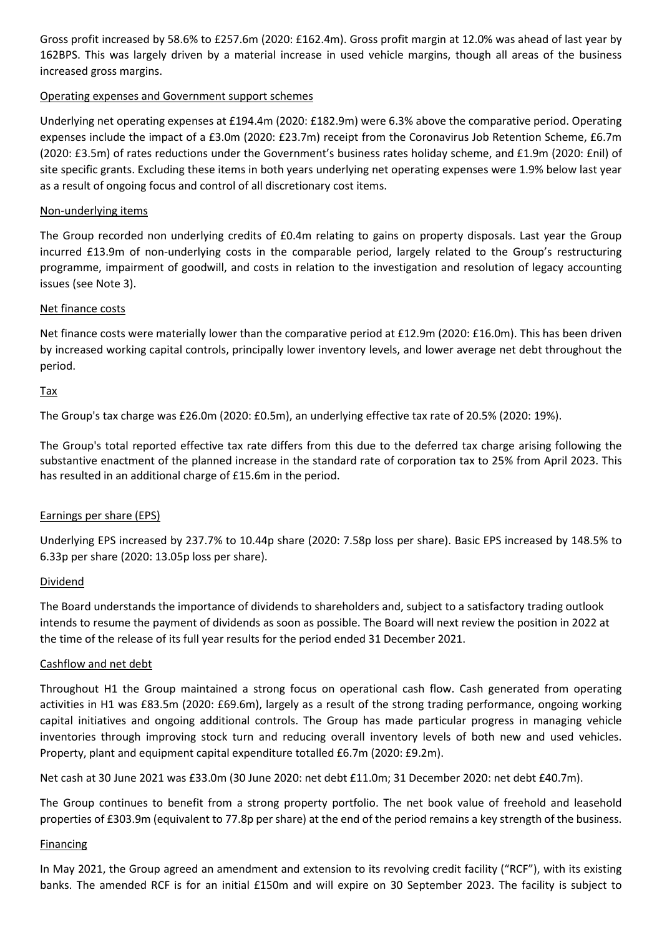Gross profit increased by 58.6% to £257.6m (2020: £162.4m). Gross profit margin at 12.0% was ahead of last year by 162BPS. This was largely driven by a material increase in used vehicle margins, though all areas of the business increased gross margins.

# Operating expenses and Government support schemes

Underlying net operating expenses at £194.4m (2020: £182.9m) were 6.3% above the comparative period. Operating expenses include the impact of a £3.0m (2020: £23.7m) receipt from the Coronavirus Job Retention Scheme, £6.7m (2020: £3.5m) of rates reductions under the Government's business rates holiday scheme, and £1.9m (2020: £nil) of site specific grants. Excluding these items in both years underlying net operating expenses were 1.9% below last year as a result of ongoing focus and control of all discretionary cost items.

# Non-underlying items

The Group recorded non underlying credits of £0.4m relating to gains on property disposals. Last year the Group incurred £13.9m of non-underlying costs in the comparable period, largely related to the Group's restructuring programme, impairment of goodwill, and costs in relation to the investigation and resolution of legacy accounting issues (see Note 3).

# Net finance costs

Net finance costs were materially lower than the comparative period at £12.9m (2020: £16.0m). This has been driven by increased working capital controls, principally lower inventory levels, and lower average net debt throughout the period.

# Tax

The Group's tax charge was £26.0m (2020: £0.5m), an underlying effective tax rate of 20.5% (2020: 19%).

The Group's total reported effective tax rate differs from this due to the deferred tax charge arising following the substantive enactment of the planned increase in the standard rate of corporation tax to 25% from April 2023. This has resulted in an additional charge of £15.6m in the period.

# Earnings per share (EPS)

Underlying EPS increased by 237.7% to 10.44p share (2020: 7.58p loss per share). Basic EPS increased by 148.5% to 6.33p per share (2020: 13.05p loss per share).

# Dividend

The Board understands the importance of dividends to shareholders and, subject to a satisfactory trading outlook intends to resume the payment of dividends as soon as possible. The Board will next review the position in 2022 at the time of the release of its full year results for the period ended 31 December 2021.

# Cashflow and net debt

Throughout H1 the Group maintained a strong focus on operational cash flow. Cash generated from operating activities in H1 was £83.5m (2020: £69.6m), largely as a result of the strong trading performance, ongoing working capital initiatives and ongoing additional controls. The Group has made particular progress in managing vehicle inventories through improving stock turn and reducing overall inventory levels of both new and used vehicles. Property, plant and equipment capital expenditure totalled £6.7m (2020: £9.2m).

Net cash at 30 June 2021 was £33.0m (30 June 2020: net debt £11.0m; 31 December 2020: net debt £40.7m).

The Group continues to benefit from a strong property portfolio. The net book value of freehold and leasehold properties of £303.9m (equivalent to 77.8p per share) at the end of the period remains a key strength of the business.

# **Financing**

In May 2021, the Group agreed an amendment and extension to its revolving credit facility ("RCF"), with its existing banks. The amended RCF is for an initial £150m and will expire on 30 September 2023. The facility is subject to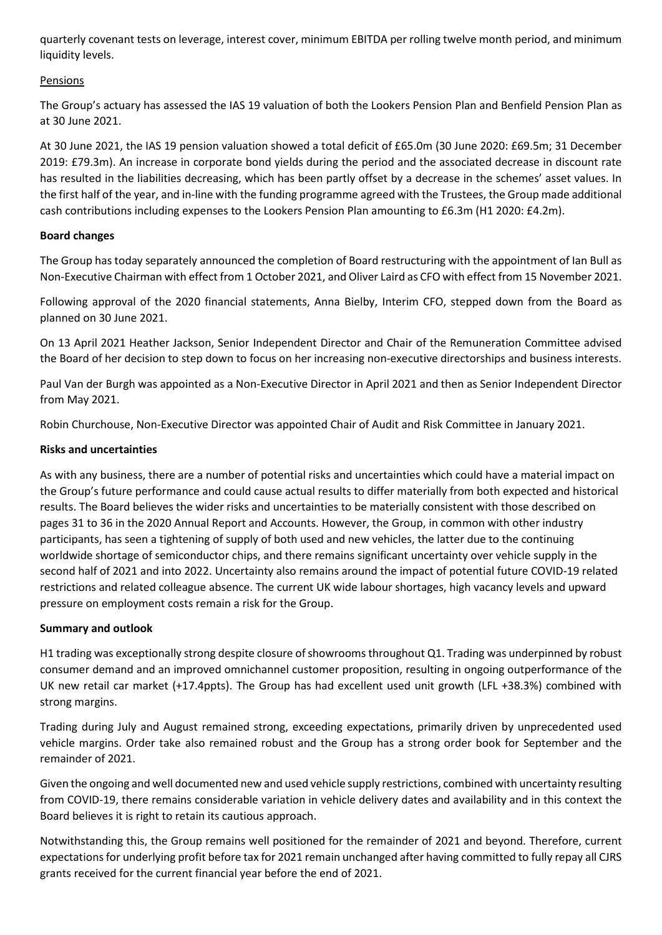quarterly covenant tests on leverage, interest cover, minimum EBITDA per rolling twelve month period, and minimum liquidity levels.

# Pensions

The Group's actuary has assessed the IAS 19 valuation of both the Lookers Pension Plan and Benfield Pension Plan as at 30 June 2021.

At 30 June 2021, the IAS 19 pension valuation showed a total deficit of £65.0m (30 June 2020: £69.5m; 31 December 2019: £79.3m). An increase in corporate bond yields during the period and the associated decrease in discount rate has resulted in the liabilities decreasing, which has been partly offset by a decrease in the schemes' asset values. In the first half of the year, and in-line with the funding programme agreed with the Trustees, the Group made additional cash contributions including expenses to the Lookers Pension Plan amounting to £6.3m (H1 2020: £4.2m).

# **Board changes**

The Group has today separately announced the completion of Board restructuring with the appointment of Ian Bull as Non-Executive Chairman with effect from 1 October 2021, and Oliver Laird as CFO with effect from 15 November 2021.

Following approval of the 2020 financial statements, Anna Bielby, Interim CFO, stepped down from the Board as planned on 30 June 2021.

On 13 April 2021 Heather Jackson, Senior Independent Director and Chair of the Remuneration Committee advised the Board of her decision to step down to focus on her increasing non-executive directorships and business interests.

Paul Van der Burgh was appointed as a Non-Executive Director in April 2021 and then as Senior Independent Director from May 2021.

Robin Churchouse, Non-Executive Director was appointed Chair of Audit and Risk Committee in January 2021.

# **Risks and uncertainties**

As with any business, there are a number of potential risks and uncertainties which could have a material impact on the Group's future performance and could cause actual results to differ materially from both expected and historical results. The Board believes the wider risks and uncertainties to be materially consistent with those described on pages 31 to 36 in the 2020 Annual Report and Accounts. However, the Group, in common with other industry participants, has seen a tightening of supply of both used and new vehicles, the latter due to the continuing worldwide shortage of semiconductor chips, and there remains significant uncertainty over vehicle supply in the second half of 2021 and into 2022. Uncertainty also remains around the impact of potential future COVID-19 related restrictions and related colleague absence. The current UK wide labour shortages, high vacancy levels and upward pressure on employment costs remain a risk for the Group.

# **Summary and outlook**

H1 trading was exceptionally strong despite closure of showrooms throughout Q1. Trading was underpinned by robust consumer demand and an improved omnichannel customer proposition, resulting in ongoing outperformance of the UK new retail car market (+17.4ppts). The Group has had excellent used unit growth (LFL +38.3%) combined with strong margins.

Trading during July and August remained strong, exceeding expectations, primarily driven by unprecedented used vehicle margins. Order take also remained robust and the Group has a strong order book for September and the remainder of 2021.

Given the ongoing and well documented new and used vehicle supply restrictions, combined with uncertainty resulting from COVID-19, there remains considerable variation in vehicle delivery dates and availability and in this context the Board believes it is right to retain its cautious approach.

Notwithstanding this, the Group remains well positioned for the remainder of 2021 and beyond. Therefore, current expectations for underlying profit before tax for 2021 remain unchanged after having committed to fully repay all CJRS grants received for the current financial year before the end of 2021.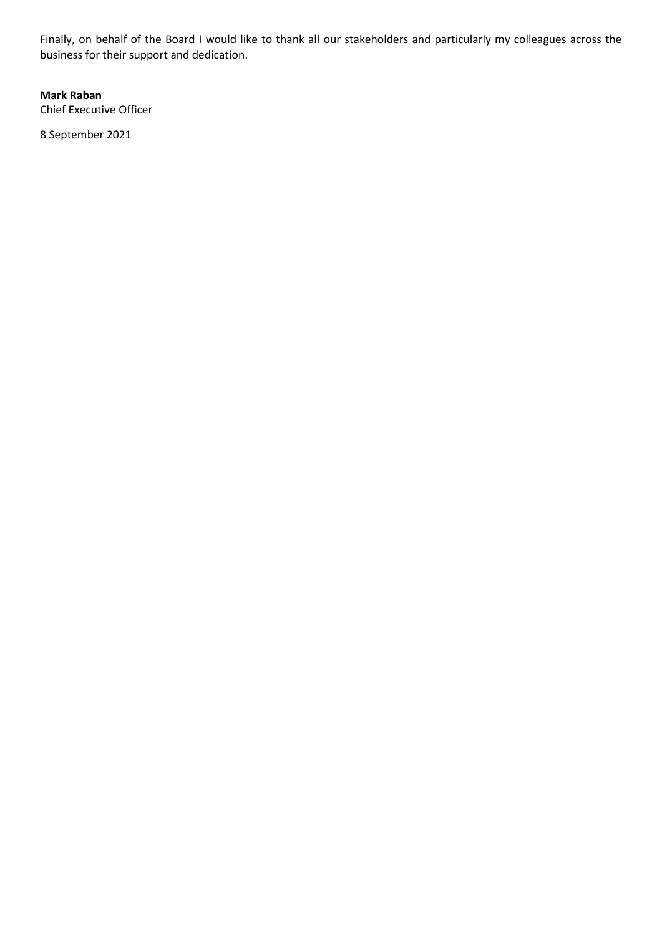Finally, on behalf of the Board I would like to thank all our stakeholders and particularly my colleagues across the business for their support and dedication.

**Mark Raban** Chief Executive Officer

8 September 2021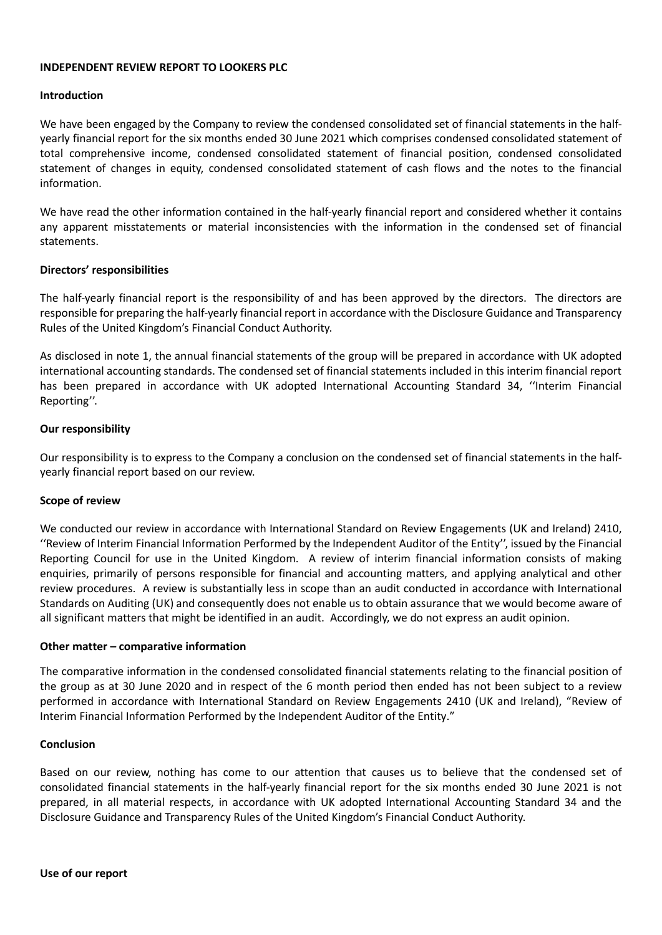### **INDEPENDENT REVIEW REPORT TO LOOKERS PLC**

#### **Introduction**

We have been engaged by the Company to review the condensed consolidated set of financial statements in the halfyearly financial report for the six months ended 30 June 2021 which comprises condensed consolidated statement of total comprehensive income, condensed consolidated statement of financial position, condensed consolidated statement of changes in equity, condensed consolidated statement of cash flows and the notes to the financial information.

We have read the other information contained in the half-yearly financial report and considered whether it contains any apparent misstatements or material inconsistencies with the information in the condensed set of financial statements.

# **Directors' responsibilities**

The half-yearly financial report is the responsibility of and has been approved by the directors. The directors are responsible for preparing the half-yearly financial report in accordance with the Disclosure Guidance and Transparency Rules of the United Kingdom's Financial Conduct Authority.

As disclosed in note 1, the annual financial statements of the group will be prepared in accordance with UK adopted international accounting standards. The condensed set of financial statements included in this interim financial report has been prepared in accordance with UK adopted International Accounting Standard 34, ''Interim Financial Reporting''.

### **Our responsibility**

Our responsibility is to express to the Company a conclusion on the condensed set of financial statements in the halfyearly financial report based on our review.

#### **Scope of review**

We conducted our review in accordance with International Standard on Review Engagements (UK and Ireland) 2410, ''Review of Interim Financial Information Performed by the Independent Auditor of the Entity'', issued by the Financial Reporting Council for use in the United Kingdom. A review of interim financial information consists of making enquiries, primarily of persons responsible for financial and accounting matters, and applying analytical and other review procedures. A review is substantially less in scope than an audit conducted in accordance with International Standards on Auditing (UK) and consequently does not enable us to obtain assurance that we would become aware of all significant matters that might be identified in an audit. Accordingly, we do not express an audit opinion.

#### **Other matter – comparative information**

The comparative information in the condensed consolidated financial statements relating to the financial position of the group as at 30 June 2020 and in respect of the 6 month period then ended has not been subject to a review performed in accordance with International Standard on Review Engagements 2410 (UK and Ireland), "Review of Interim Financial Information Performed by the Independent Auditor of the Entity."

#### **Conclusion**

Based on our review, nothing has come to our attention that causes us to believe that the condensed set of consolidated financial statements in the half-yearly financial report for the six months ended 30 June 2021 is not prepared, in all material respects, in accordance with UK adopted International Accounting Standard 34 and the Disclosure Guidance and Transparency Rules of the United Kingdom's Financial Conduct Authority.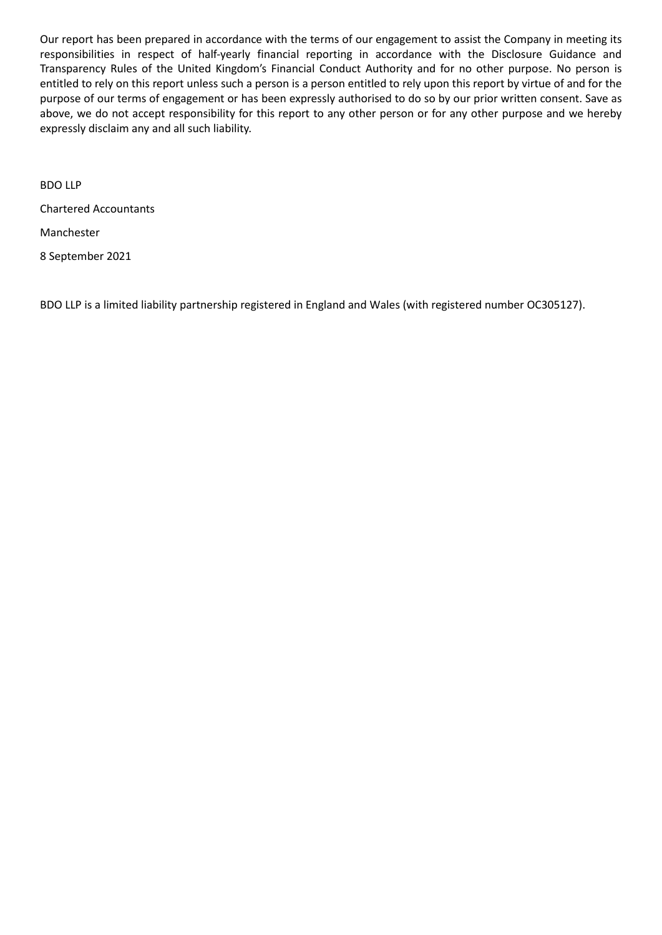Our report has been prepared in accordance with the terms of our engagement to assist the Company in meeting its responsibilities in respect of half-yearly financial reporting in accordance with the Disclosure Guidance and Transparency Rules of the United Kingdom's Financial Conduct Authority and for no other purpose. No person is entitled to rely on this report unless such a person is a person entitled to rely upon this report by virtue of and for the purpose of our terms of engagement or has been expressly authorised to do so by our prior written consent. Save as above, we do not accept responsibility for this report to any other person or for any other purpose and we hereby expressly disclaim any and all such liability.

BDO LLP Chartered Accountants Manchester 8 September 2021

BDO LLP is a limited liability partnership registered in England and Wales (with registered number OC305127).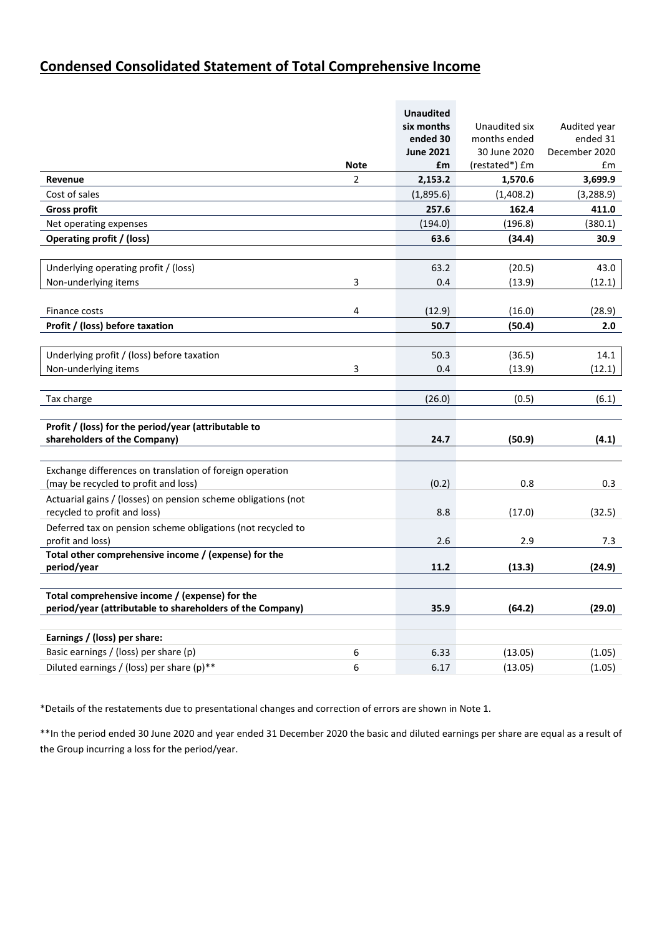# **Condensed Consolidated Statement of Total Comprehensive Income**

|                                                                       |                | <b>Unaudited</b> |                |               |
|-----------------------------------------------------------------------|----------------|------------------|----------------|---------------|
|                                                                       |                | six months       | Unaudited six  | Audited year  |
|                                                                       |                | ended 30         | months ended   | ended 31      |
|                                                                       |                | <b>June 2021</b> | 30 June 2020   | December 2020 |
|                                                                       | <b>Note</b>    | £m               | (restated*) £m | £m            |
| Revenue                                                               | $\overline{2}$ | 2,153.2          | 1,570.6        | 3,699.9       |
| Cost of sales                                                         |                | (1,895.6)        | (1,408.2)      | (3,288.9)     |
| <b>Gross profit</b>                                                   |                | 257.6            | 162.4          | 411.0         |
| Net operating expenses                                                |                | (194.0)          | (196.8)        | (380.1)       |
| <b>Operating profit / (loss)</b>                                      |                | 63.6             | (34.4)         | 30.9          |
|                                                                       |                |                  |                |               |
| Underlying operating profit / (loss)                                  |                | 63.2             | (20.5)         | 43.0          |
| Non-underlying items                                                  | 3              | 0.4              | (13.9)         | (12.1)        |
|                                                                       |                |                  |                |               |
| Finance costs                                                         | 4              | (12.9)           | (16.0)         | (28.9)        |
| Profit / (loss) before taxation                                       |                | 50.7             | (50.4)         | 2.0           |
|                                                                       |                |                  |                |               |
| Underlying profit / (loss) before taxation                            |                | 50.3             | (36.5)         | 14.1          |
| Non-underlying items                                                  | 3              | 0.4              | (13.9)         | (12.1)        |
|                                                                       |                |                  |                |               |
| Tax charge                                                            |                | (26.0)           | (0.5)          | (6.1)         |
|                                                                       |                |                  |                |               |
| Profit / (loss) for the period/year (attributable to                  |                |                  |                |               |
| shareholders of the Company)                                          |                | 24.7             | (50.9)         | (4.1)         |
|                                                                       |                |                  |                |               |
| Exchange differences on translation of foreign operation              |                |                  |                |               |
| (may be recycled to profit and loss)                                  |                | (0.2)            | 0.8            | 0.3           |
| Actuarial gains / (losses) on pension scheme obligations (not         |                |                  |                |               |
| recycled to profit and loss)                                          |                | 8.8              | (17.0)         | (32.5)        |
| Deferred tax on pension scheme obligations (not recycled to           |                |                  |                |               |
| profit and loss)                                                      |                | 2.6              | 2.9            | 7.3           |
| Total other comprehensive income / (expense) for the                  |                |                  |                |               |
| period/year                                                           |                | 11.2             | (13.3)         | (24.9)        |
|                                                                       |                |                  |                |               |
| Total comprehensive income / (expense) for the                        |                |                  |                |               |
| period/year (attributable to shareholders of the Company)             |                | 35.9             | (64.2)         | (29.0)        |
|                                                                       |                |                  |                |               |
| Earnings / (loss) per share:<br>Basic earnings / (loss) per share (p) |                |                  |                |               |
|                                                                       | 6              | 6.33             | (13.05)        | (1.05)        |
| Diluted earnings / (loss) per share (p)**                             | 6              | 6.17             | (13.05)        | (1.05)        |

\*Details of the restatements due to presentational changes and correction of errors are shown in Note 1.

\*\*In the period ended 30 June 2020 and year ended 31 December 2020 the basic and diluted earnings per share are equal as a result of the Group incurring a loss for the period/year.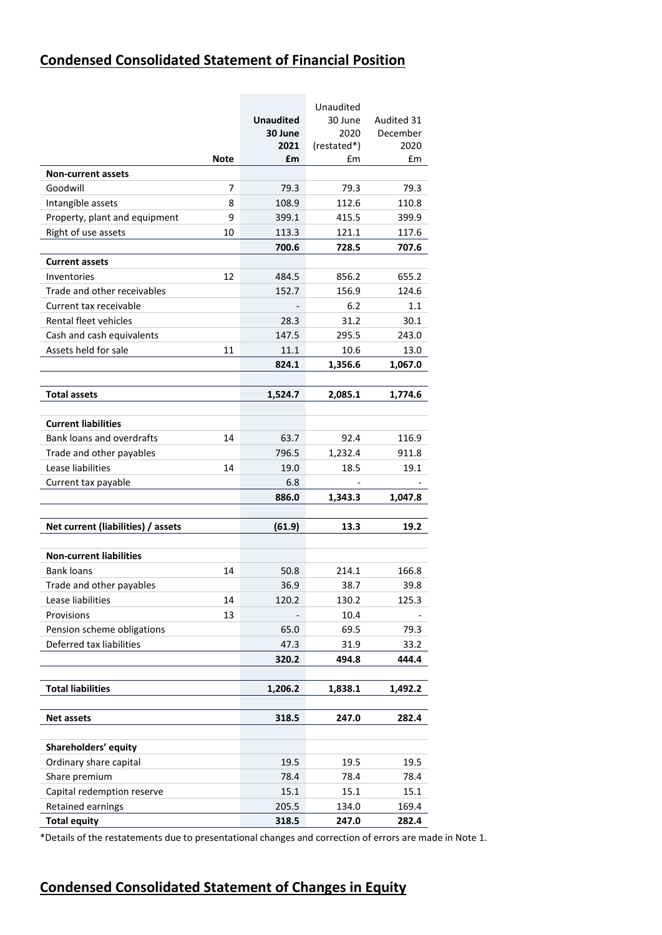# **Condensed Consolidated Statement of Financial Position**

|                                    |             |                  | Unaudited   |            |
|------------------------------------|-------------|------------------|-------------|------------|
|                                    |             | <b>Unaudited</b> | 30 June     | Audited 31 |
|                                    |             | 30 June          | 2020        | December   |
|                                    |             | 2021             | (restated*) | 2020       |
|                                    | <b>Note</b> | £m               | £m          | £m         |
| <b>Non-current assets</b>          |             |                  |             |            |
| Goodwill                           | 7           | 79.3             | 79.3        | 79.3       |
| Intangible assets                  | 8           | 108.9            | 112.6       | 110.8      |
| Property, plant and equipment      | 9           | 399.1            | 415.5       | 399.9      |
| Right of use assets                | 10          | 113.3            | 121.1       | 117.6      |
|                                    |             | 700.6            | 728.5       | 707.6      |
| <b>Current assets</b>              |             |                  |             |            |
| Inventories                        | 12          | 484.5            | 856.2       | 655.2      |
| Trade and other receivables        |             | 152.7            | 156.9       | 124.6      |
| Current tax receivable             |             |                  | 6.2         | 1.1        |
| Rental fleet vehicles              |             | 28.3             | 31.2        | 30.1       |
| Cash and cash equivalents          |             | 147.5            | 295.5       | 243.0      |
| Assets held for sale               | 11          | 11.1             | 10.6        | 13.0       |
|                                    |             | 824.1            | 1,356.6     | 1,067.0    |
|                                    |             |                  |             |            |
| Total assets                       |             | 1,524.7          | 2,085.1     | 1,774.6    |
| <b>Current liabilities</b>         |             |                  |             |            |
| Bank loans and overdrafts          | 14          | 63.7             | 92.4        | 116.9      |
| Trade and other payables           |             | 796.5            | 1,232.4     | 911.8      |
| Lease liabilities                  | 14          | 19.0             | 18.5        | 19.1       |
| Current tax payable                |             | 6.8              |             |            |
|                                    |             | 886.0            | 1,343.3     | 1,047.8    |
|                                    |             |                  |             |            |
| Net current (liabilities) / assets |             | (61.9)           | 13.3        | 19.2       |
|                                    |             |                  |             |            |
| <b>Non-current liabilities</b>     |             |                  |             |            |
| <b>Bank loans</b>                  | 14          | 50.8             | 214.1       | 166.8      |
| Trade and other payables           |             | 36.9             | 38.7        | 39.8       |
| Lease liabilities                  | 14          | 120.2            | 130.2       | 125.3      |
| Provisions                         | 13          |                  | 10.4        |            |
| Pension scheme obligations         |             | 65.0             | 69.5        | 79.3       |
| Deferred tax liabilities           |             | 47.3             | 31.9        | 33.2       |
|                                    |             | 320.2            | 494.8       | 444.4      |
| <b>Total liabilities</b>           |             | 1,206.2          | 1,838.1     | 1,492.2    |
|                                    |             |                  |             |            |
| <b>Net assets</b>                  |             | 318.5            | 247.0       | 282.4      |
|                                    |             |                  |             |            |
| Shareholders' equity               |             |                  |             |            |
| Ordinary share capital             |             | 19.5             | 19.5        | 19.5       |
| Share premium                      |             | 78.4             | 78.4        | 78.4       |
| Capital redemption reserve         |             | 15.1             | 15.1        | 15.1       |
| Retained earnings                  |             | 205.5            | 134.0       | 169.4      |
| <b>Total equity</b>                |             | 318.5            | 247.0       | 282.4      |

\*Details of the restatements due to presentational changes and correction of errors are made in Note 1.

# **Condensed Consolidated Statement of Changes in Equity**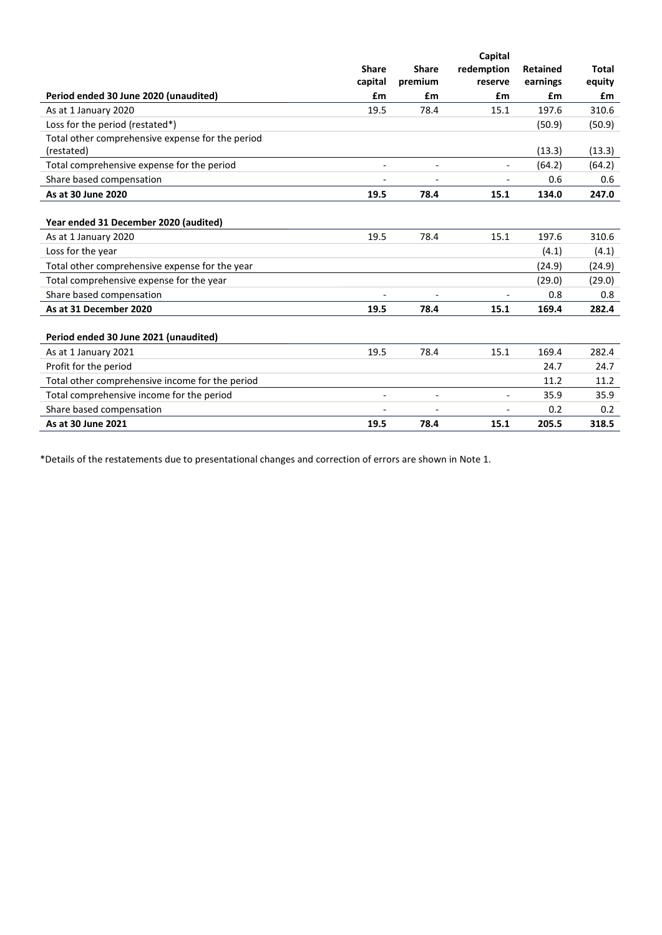|                                                  |                          |                          | Capital                  |                             |              |
|--------------------------------------------------|--------------------------|--------------------------|--------------------------|-----------------------------|--------------|
|                                                  | <b>Share</b>             | <b>Share</b><br>premium  | redemption<br>reserve    | <b>Retained</b><br>earnings | <b>Total</b> |
|                                                  | capital<br>£m            | £m                       | £m                       | £m                          | equity<br>£m |
| Period ended 30 June 2020 (unaudited)            |                          |                          |                          |                             |              |
| As at 1 January 2020                             | 19.5                     | 78.4                     | 15.1                     | 197.6                       | 310.6        |
| Loss for the period (restated*)                  |                          |                          |                          | (50.9)                      | (50.9)       |
| Total other comprehensive expense for the period |                          |                          |                          |                             |              |
| (restated)                                       |                          |                          |                          | (13.3)                      | (13.3)       |
| Total comprehensive expense for the period       | $\overline{\phantom{a}}$ | $\overline{\phantom{a}}$ | $\overline{\phantom{a}}$ | (64.2)                      | (64.2)       |
| Share based compensation                         | $\overline{\phantom{a}}$ |                          | $\overline{a}$           | 0.6                         | 0.6          |
| As at 30 June 2020                               | 19.5                     | 78.4                     | 15.1                     | 134.0                       | 247.0        |
|                                                  |                          |                          |                          |                             |              |
| Year ended 31 December 2020 (audited)            |                          |                          |                          |                             |              |
| As at 1 January 2020                             | 19.5                     | 78.4                     | 15.1                     | 197.6                       | 310.6        |
| Loss for the year                                |                          |                          |                          | (4.1)                       | (4.1)        |
| Total other comprehensive expense for the year   |                          |                          |                          | (24.9)                      | (24.9)       |
| Total comprehensive expense for the year         |                          |                          |                          | (29.0)                      | (29.0)       |
| Share based compensation                         |                          |                          |                          | 0.8                         | 0.8          |
| As at 31 December 2020                           | 19.5                     | 78.4                     | 15.1                     | 169.4                       | 282.4        |
|                                                  |                          |                          |                          |                             |              |
| Period ended 30 June 2021 (unaudited)            |                          |                          |                          |                             |              |
| As at 1 January 2021                             | 19.5                     | 78.4                     | 15.1                     | 169.4                       | 282.4        |
| Profit for the period                            |                          |                          |                          | 24.7                        | 24.7         |
| Total other comprehensive income for the period  |                          |                          |                          | 11.2                        | 11.2         |
| Total comprehensive income for the period        |                          | $\overline{a}$           |                          | 35.9                        | 35.9         |
| Share based compensation                         |                          |                          |                          | 0.2                         | 0.2          |
| As at 30 June 2021                               | 19.5                     | 78.4                     | 15.1                     | 205.5                       | 318.5        |

\*Details of the restatements due to presentational changes and correction of errors are shown in Note 1.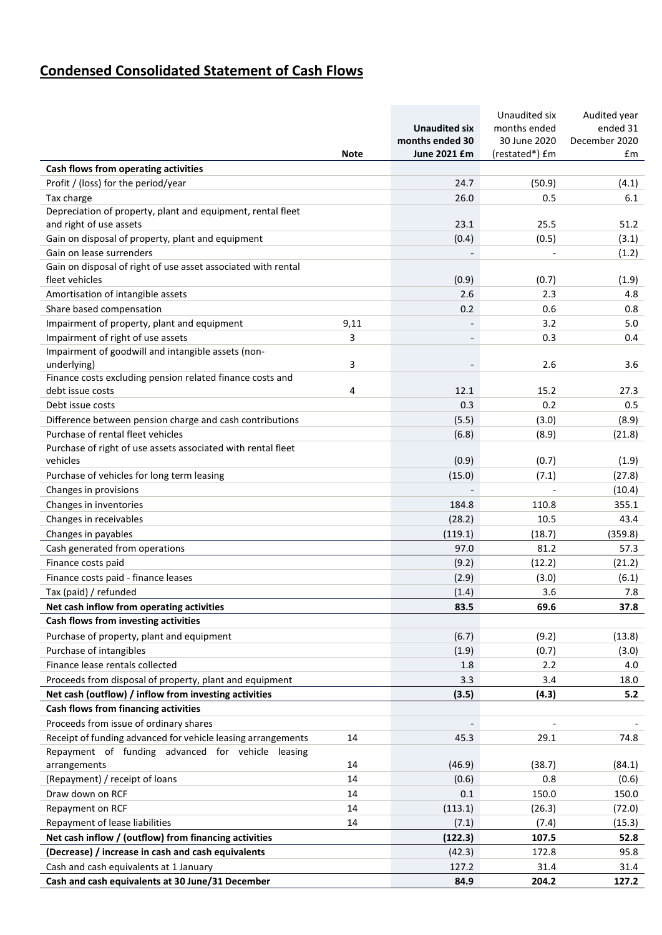# **Condensed Consolidated Statement of Cash Flows**

|                                                                                        |             |                          | Unaudited six  | Audited year  |
|----------------------------------------------------------------------------------------|-------------|--------------------------|----------------|---------------|
|                                                                                        |             | <b>Unaudited six</b>     | months ended   | ended 31      |
|                                                                                        |             | months ended 30          | 30 June 2020   | December 2020 |
|                                                                                        | <b>Note</b> | June 2021 £m             | (restated*) £m | £m            |
| Cash flows from operating activities                                                   |             |                          |                |               |
| Profit / (loss) for the period/year                                                    |             | 24.7                     | (50.9)         | (4.1)         |
| Tax charge                                                                             |             | 26.0                     | 0.5            | 6.1           |
| Depreciation of property, plant and equipment, rental fleet<br>and right of use assets |             | 23.1                     | 25.5           | 51.2          |
| Gain on disposal of property, plant and equipment                                      |             | (0.4)                    | (0.5)          | (3.1)         |
| Gain on lease surrenders                                                               |             |                          |                | (1.2)         |
| Gain on disposal of right of use asset associated with rental                          |             |                          |                |               |
| fleet vehicles                                                                         |             | (0.9)                    | (0.7)          | (1.9)         |
| Amortisation of intangible assets                                                      |             | 2.6                      | 2.3            | 4.8           |
| Share based compensation                                                               |             | 0.2                      | 0.6            | 0.8           |
| Impairment of property, plant and equipment                                            | 9,11        |                          | 3.2            | 5.0           |
| Impairment of right of use assets                                                      | 3           | $\overline{\phantom{a}}$ | 0.3            | 0.4           |
| Impairment of goodwill and intangible assets (non-                                     |             |                          |                |               |
| underlying)                                                                            | 3           |                          | 2.6            | 3.6           |
| Finance costs excluding pension related finance costs and                              |             |                          |                |               |
| debt issue costs                                                                       | 4           | 12.1                     | 15.2           | 27.3          |
| Debt issue costs                                                                       |             | 0.3                      | 0.2            | 0.5           |
| Difference between pension charge and cash contributions                               |             | (5.5)                    | (3.0)          | (8.9)         |
| Purchase of rental fleet vehicles                                                      |             | (6.8)                    | (8.9)          | (21.8)        |
| Purchase of right of use assets associated with rental fleet                           |             |                          |                |               |
| vehicles                                                                               |             | (0.9)                    | (0.7)          | (1.9)         |
| Purchase of vehicles for long term leasing                                             |             | (15.0)                   | (7.1)          | (27.8)        |
| Changes in provisions                                                                  |             |                          |                | (10.4)        |
| Changes in inventories                                                                 |             | 184.8                    | 110.8          | 355.1         |
| Changes in receivables                                                                 |             | (28.2)                   | 10.5           | 43.4          |
| Changes in payables                                                                    |             | (119.1)                  | (18.7)         | (359.8)       |
| Cash generated from operations                                                         |             | 97.0                     | 81.2           | 57.3          |
| Finance costs paid                                                                     |             | (9.2)                    | (12.2)         | (21.2)        |
| Finance costs paid - finance leases                                                    |             | (2.9)                    | (3.0)          | (6.1)         |
| Tax (paid) / refunded                                                                  |             | (1.4)                    | 3.6            | 7.8           |
| Net cash inflow from operating activities                                              |             | 83.5                     | 69.6           | 37.8          |
| Cash flows from investing activities                                                   |             |                          |                |               |
| Purchase of property, plant and equipment                                              |             | (6.7)                    | (9.2)          | (13.8)        |
| Purchase of intangibles                                                                |             | (1.9)                    | (0.7)          | (3.0)         |
| Finance lease rentals collected                                                        |             | 1.8                      | 2.2            | 4.0           |
| Proceeds from disposal of property, plant and equipment                                |             | 3.3                      | 3.4            | 18.0          |
| Net cash (outflow) / inflow from investing activities                                  |             | (3.5)                    | (4.3)          | 5.2           |
| Cash flows from financing activities                                                   |             |                          |                |               |
| Proceeds from issue of ordinary shares                                                 |             |                          |                |               |
| Receipt of funding advanced for vehicle leasing arrangements                           | 14          | 45.3                     | 29.1           | 74.8          |
| Repayment of funding advanced for vehicle leasing<br>arrangements                      | 14          | (46.9)                   | (38.7)         | (84.1)        |
| (Repayment) / receipt of loans                                                         | 14          | (0.6)                    | 0.8            | (0.6)         |
| Draw down on RCF                                                                       | 14          | 0.1                      | 150.0          | 150.0         |
| Repayment on RCF                                                                       | 14          | (113.1)                  | (26.3)         | (72.0)        |
| Repayment of lease liabilities                                                         | 14          | (7.1)                    | (7.4)          | (15.3)        |
| Net cash inflow / (outflow) from financing activities                                  |             | (122.3)                  | 107.5          | 52.8          |
| (Decrease) / increase in cash and cash equivalents                                     |             | (42.3)                   | 172.8          | 95.8          |
| Cash and cash equivalents at 1 January                                                 |             | 127.2                    | 31.4           | 31.4          |
| Cash and cash equivalents at 30 June/31 December                                       |             | 84.9                     | 204.2          | 127.2         |
|                                                                                        |             |                          |                |               |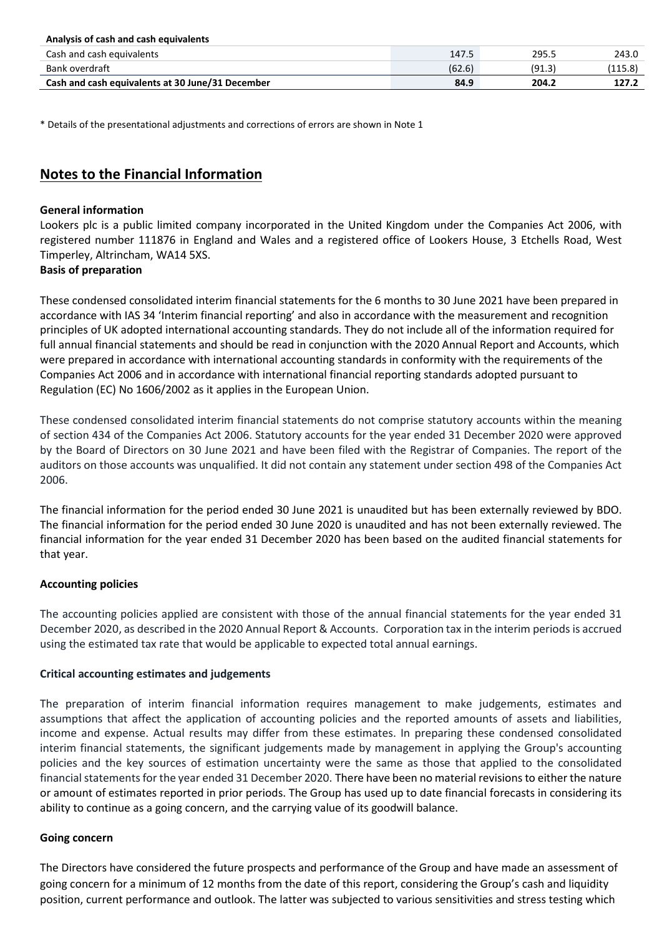| Analysis of cash and cash equivalents            |        |        |       |
|--------------------------------------------------|--------|--------|-------|
| Cash and cash equivalents                        | 147.5  | 295.5  | 243.0 |
| Bank overdraft                                   | (62.6) | (91.3) | 115.8 |
| Cash and cash equivalents at 30 June/31 December | 84.9   | 204.2  | 127.2 |

\* Details of the presentational adjustments and corrections of errors are shown in Note 1

# **Notes to the Financial Information**

# **General information**

Lookers plc is a public limited company incorporated in the United Kingdom under the Companies Act 2006, with registered number 111876 in England and Wales and a registered office of Lookers House, 3 Etchells Road, West Timperley, Altrincham, WA14 5XS.

# **Basis of preparation**

These condensed consolidated interim financial statements for the 6 months to 30 June 2021 have been prepared in accordance with IAS 34 'Interim financial reporting' and also in accordance with the measurement and recognition principles of UK adopted international accounting standards. They do not include all of the information required for full annual financial statements and should be read in conjunction with the 2020 Annual Report and Accounts, which were prepared in accordance with international accounting standards in conformity with the requirements of the Companies Act 2006 and in accordance with international financial reporting standards adopted pursuant to Regulation (EC) No 1606/2002 as it applies in the European Union.

These condensed consolidated interim financial statements do not comprise statutory accounts within the meaning of section 434 of the Companies Act 2006. Statutory accounts for the year ended 31 December 2020 were approved by the Board of Directors on 30 June 2021 and have been filed with the Registrar of Companies. The report of the auditors on those accounts was unqualified. It did not contain any statement under section 498 of the Companies Act 2006.

The financial information for the period ended 30 June 2021 is unaudited but has been externally reviewed by BDO. The financial information for the period ended 30 June 2020 is unaudited and has not been externally reviewed. The financial information for the year ended 31 December 2020 has been based on the audited financial statements for that year.

# **Accounting policies**

The accounting policies applied are consistent with those of the annual financial statements for the year ended 31 December 2020, as described in the 2020 Annual Report & Accounts. Corporation tax in the interim periods is accrued using the estimated tax rate that would be applicable to expected total annual earnings.

# **Critical accounting estimates and judgements**

The preparation of interim financial information requires management to make judgements, estimates and assumptions that affect the application of accounting policies and the reported amounts of assets and liabilities, income and expense. Actual results may differ from these estimates. In preparing these condensed consolidated interim financial statements, the significant judgements made by management in applying the Group's accounting policies and the key sources of estimation uncertainty were the same as those that applied to the consolidated financial statements for the year ended 31 December 2020. There have been no material revisions to either the nature or amount of estimates reported in prior periods. The Group has used up to date financial forecasts in considering its ability to continue as a going concern, and the carrying value of its goodwill balance.

# **Going concern**

The Directors have considered the future prospects and performance of the Group and have made an assessment of going concern for a minimum of 12 months from the date of this report, considering the Group's cash and liquidity position, current performance and outlook. The latter was subjected to various sensitivities and stress testing which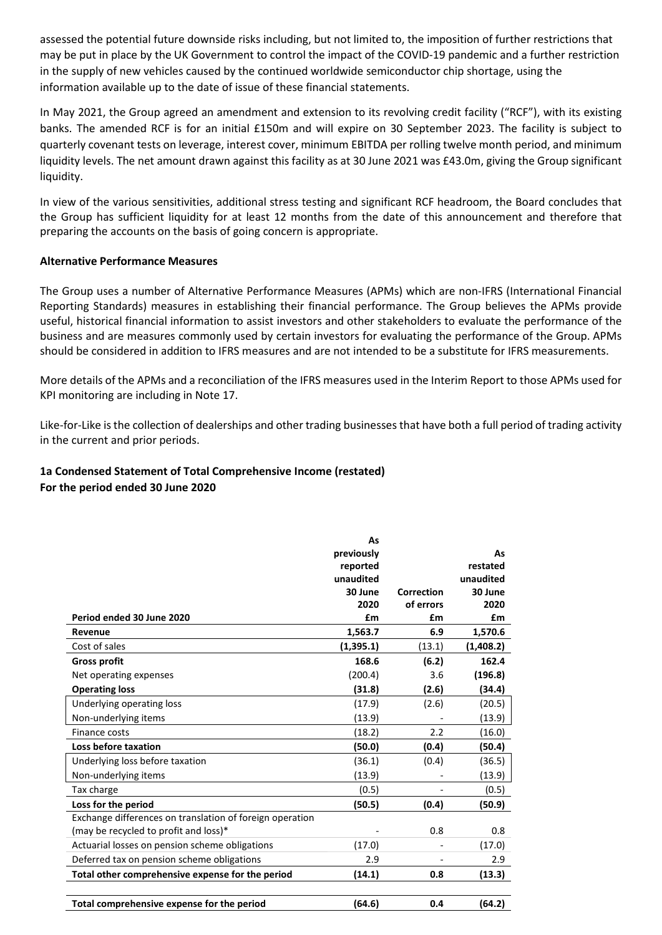assessed the potential future downside risks including, but not limited to, the imposition of further restrictions that may be put in place by the UK Government to control the impact of the COVID-19 pandemic and a further restriction in the supply of new vehicles caused by the continued worldwide semiconductor chip shortage, using the information available up to the date of issue of these financial statements.

In May 2021, the Group agreed an amendment and extension to its revolving credit facility ("RCF"), with its existing banks. The amended RCF is for an initial £150m and will expire on 30 September 2023. The facility is subject to quarterly covenant tests on leverage, interest cover, minimum EBITDA per rolling twelve month period, and minimum liquidity levels. The net amount drawn against this facility as at 30 June 2021 was £43.0m, giving the Group significant liquidity.

In view of the various sensitivities, additional stress testing and significant RCF headroom, the Board concludes that the Group has sufficient liquidity for at least 12 months from the date of this announcement and therefore that preparing the accounts on the basis of going concern is appropriate.

# **Alternative Performance Measures**

The Group uses a number of Alternative Performance Measures (APMs) which are non-IFRS (International Financial Reporting Standards) measures in establishing their financial performance. The Group believes the APMs provide useful, historical financial information to assist investors and other stakeholders to evaluate the performance of the business and are measures commonly used by certain investors for evaluating the performance of the Group. APMs should be considered in addition to IFRS measures and are not intended to be a substitute for IFRS measurements.

More details of the APMs and a reconciliation of the IFRS measures used in the Interim Report to those APMs used for KPI monitoring are including in Note 17.

Like-for-Like is the collection of dealerships and other trading businesses that have both a full period of trading activity in the current and prior periods.

# **1a Condensed Statement of Total Comprehensive Income (restated) For the period ended 30 June 2020**

|                                                          | As         |            |           |
|----------------------------------------------------------|------------|------------|-----------|
|                                                          | previously |            | As        |
|                                                          | reported   |            | restated  |
|                                                          | unaudited  |            | unaudited |
|                                                          | 30 June    | Correction | 30 June   |
|                                                          | 2020       | of errors  | 2020      |
| Period ended 30 June 2020                                | £m         | £m         | £m        |
| Revenue                                                  | 1,563.7    | 6.9        | 1,570.6   |
| Cost of sales                                            | (1,395.1)  | (13.1)     | (1,408.2) |
| <b>Gross profit</b>                                      | 168.6      | (6.2)      | 162.4     |
| Net operating expenses                                   | (200.4)    | 3.6        | (196.8)   |
| <b>Operating loss</b>                                    | (31.8)     | (2.6)      | (34.4)    |
| Underlying operating loss                                | (17.9)     | (2.6)      | (20.5)    |
| Non-underlying items                                     | (13.9)     |            | (13.9)    |
| Finance costs                                            | (18.2)     | 2.2        | (16.0)    |
| Loss before taxation                                     | (50.0)     | (0.4)      | (50.4)    |
| Underlying loss before taxation                          | (36.1)     | (0.4)      | (36.5)    |
| Non-underlying items                                     | (13.9)     |            | (13.9)    |
| Tax charge                                               | (0.5)      |            | (0.5)     |
| Loss for the period                                      | (50.5)     | (0.4)      | (50.9)    |
| Exchange differences on translation of foreign operation |            |            |           |
| (may be recycled to profit and loss)*                    |            | 0.8        | 0.8       |
| Actuarial losses on pension scheme obligations           | (17.0)     |            | (17.0)    |
| Deferred tax on pension scheme obligations               | 2.9        |            | 2.9       |
| Total other comprehensive expense for the period         | (14.1)     | 0.8        | (13.3)    |
| Total comprehensive expense for the period               | (64.6)     | 0.4        | (64.2)    |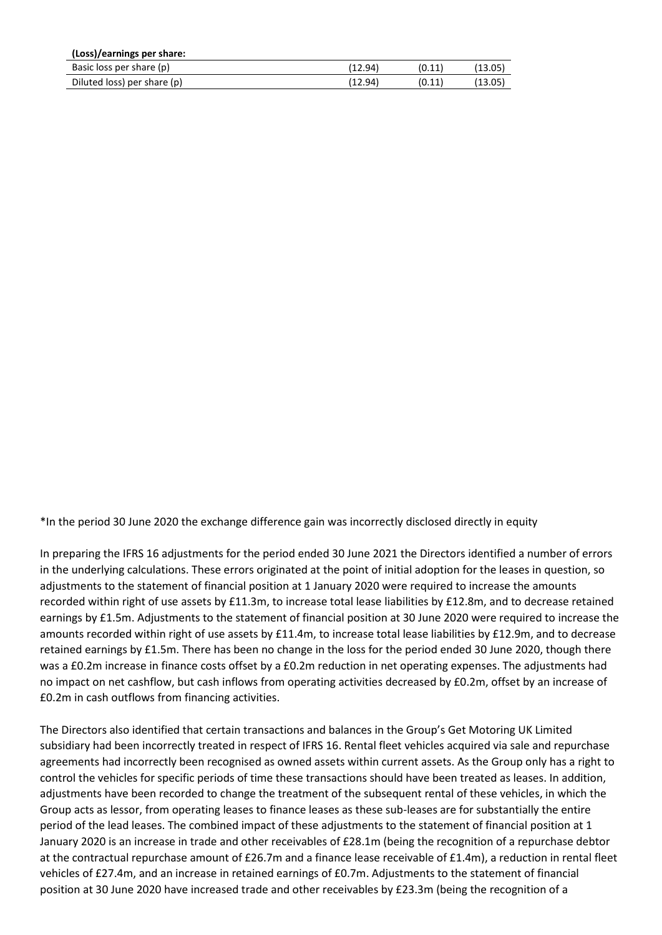| (Loss)/earnings per share:  |         |        |         |
|-----------------------------|---------|--------|---------|
| Basic loss per share (p)    | (12.94) | (0.11) | (13.05) |
| Diluted loss) per share (p) | (12.94) | (0.11) | (13.05) |

\*In the period 30 June 2020 the exchange difference gain was incorrectly disclosed directly in equity

In preparing the IFRS 16 adjustments for the period ended 30 June 2021 the Directors identified a number of errors in the underlying calculations. These errors originated at the point of initial adoption for the leases in question, so adjustments to the statement of financial position at 1 January 2020 were required to increase the amounts recorded within right of use assets by £11.3m, to increase total lease liabilities by £12.8m, and to decrease retained earnings by £1.5m. Adjustments to the statement of financial position at 30 June 2020 were required to increase the amounts recorded within right of use assets by £11.4m, to increase total lease liabilities by £12.9m, and to decrease retained earnings by £1.5m. There has been no change in the loss for the period ended 30 June 2020, though there was a £0.2m increase in finance costs offset by a £0.2m reduction in net operating expenses. The adjustments had no impact on net cashflow, but cash inflows from operating activities decreased by £0.2m, offset by an increase of £0.2m in cash outflows from financing activities.

The Directors also identified that certain transactions and balances in the Group's Get Motoring UK Limited subsidiary had been incorrectly treated in respect of IFRS 16. Rental fleet vehicles acquired via sale and repurchase agreements had incorrectly been recognised as owned assets within current assets. As the Group only has a right to control the vehicles for specific periods of time these transactions should have been treated as leases. In addition, adjustments have been recorded to change the treatment of the subsequent rental of these vehicles, in which the Group acts as lessor, from operating leases to finance leases as these sub-leases are for substantially the entire period of the lead leases. The combined impact of these adjustments to the statement of financial position at 1 January 2020 is an increase in trade and other receivables of £28.1m (being the recognition of a repurchase debtor at the contractual repurchase amount of £26.7m and a finance lease receivable of £1.4m), a reduction in rental fleet vehicles of £27.4m, and an increase in retained earnings of £0.7m. Adjustments to the statement of financial position at 30 June 2020 have increased trade and other receivables by £23.3m (being the recognition of a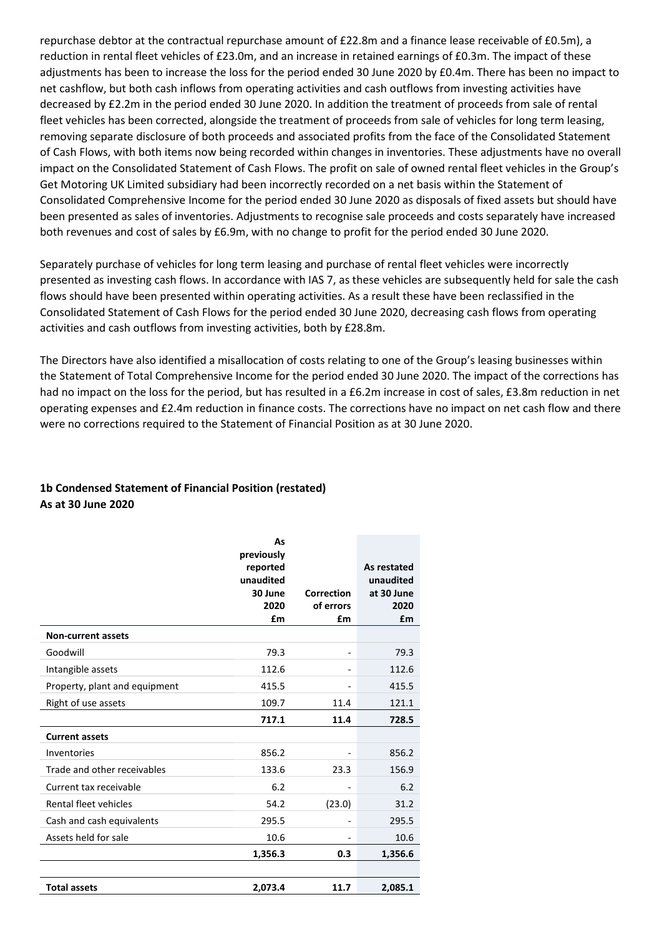repurchase debtor at the contractual repurchase amount of £22.8m and a finance lease receivable of £0.5m), a reduction in rental fleet vehicles of £23.0m, and an increase in retained earnings of £0.3m. The impact of these adjustments has been to increase the loss for the period ended 30 June 2020 by £0.4m. There has been no impact to net cashflow, but both cash inflows from operating activities and cash outflows from investing activities have decreased by £2.2m in the period ended 30 June 2020. In addition the treatment of proceeds from sale of rental fleet vehicles has been corrected, alongside the treatment of proceeds from sale of vehicles for long term leasing, removing separate disclosure of both proceeds and associated profits from the face of the Consolidated Statement of Cash Flows, with both items now being recorded within changes in inventories. These adjustments have no overall impact on the Consolidated Statement of Cash Flows. The profit on sale of owned rental fleet vehicles in the Group's Get Motoring UK Limited subsidiary had been incorrectly recorded on a net basis within the Statement of Consolidated Comprehensive Income for the period ended 30 June 2020 as disposals of fixed assets but should have been presented as sales of inventories. Adjustments to recognise sale proceeds and costs separately have increased both revenues and cost of sales by £6.9m, with no change to profit for the period ended 30 June 2020.

Separately purchase of vehicles for long term leasing and purchase of rental fleet vehicles were incorrectly presented as investing cash flows. In accordance with IAS 7, as these vehicles are subsequently held for sale the cash flows should have been presented within operating activities. As a result these have been reclassified in the Consolidated Statement of Cash Flows for the period ended 30 June 2020, decreasing cash flows from operating activities and cash outflows from investing activities, both by £28.8m.

The Directors have also identified a misallocation of costs relating to one of the Group's leasing businesses within the Statement of Total Comprehensive Income for the period ended 30 June 2020. The impact of the corrections has had no impact on the loss for the period, but has resulted in a £6.2m increase in cost of sales, £3.8m reduction in net operating expenses and £2.4m reduction in finance costs. The corrections have no impact on net cash flow and there were no corrections required to the Statement of Financial Position as at 30 June 2020.

# **1b Condensed Statement of Financial Position (restated) As at 30 June 2020**

|                               | As<br>previously<br>reported<br>unaudited<br>30 June<br>2020<br>£m | Correction<br>of errors<br>£m | As restated<br>unaudited<br>at 30 June<br>2020<br>£m |
|-------------------------------|--------------------------------------------------------------------|-------------------------------|------------------------------------------------------|
| <b>Non-current assets</b>     |                                                                    |                               |                                                      |
| Goodwill                      | 79.3                                                               | $\overline{\phantom{0}}$      | 79.3                                                 |
| Intangible assets             | 112.6                                                              |                               | 112.6                                                |
| Property, plant and equipment | 415.5                                                              |                               | 415.5                                                |
| Right of use assets           | 109.7                                                              | 11.4                          | 121.1                                                |
|                               | 717.1                                                              | 11.4                          | 728.5                                                |
| <b>Current assets</b>         |                                                                    |                               |                                                      |
| Inventories                   | 856.2                                                              |                               | 856.2                                                |
| Trade and other receivables   | 133.6                                                              | 23.3                          | 156.9                                                |
| Current tax receivable        | 6.2                                                                |                               | 6.2                                                  |
| Rental fleet vehicles         | 54.2                                                               | (23.0)                        | 31.2                                                 |
| Cash and cash equivalents     | 295.5                                                              |                               | 295.5                                                |
| Assets held for sale          | 10.6                                                               |                               | 10.6                                                 |
|                               | 1,356.3                                                            | 0.3                           | 1,356.6                                              |
|                               |                                                                    |                               |                                                      |
| <b>Total assets</b>           | 2,073.4                                                            | 11.7                          | 2,085.1                                              |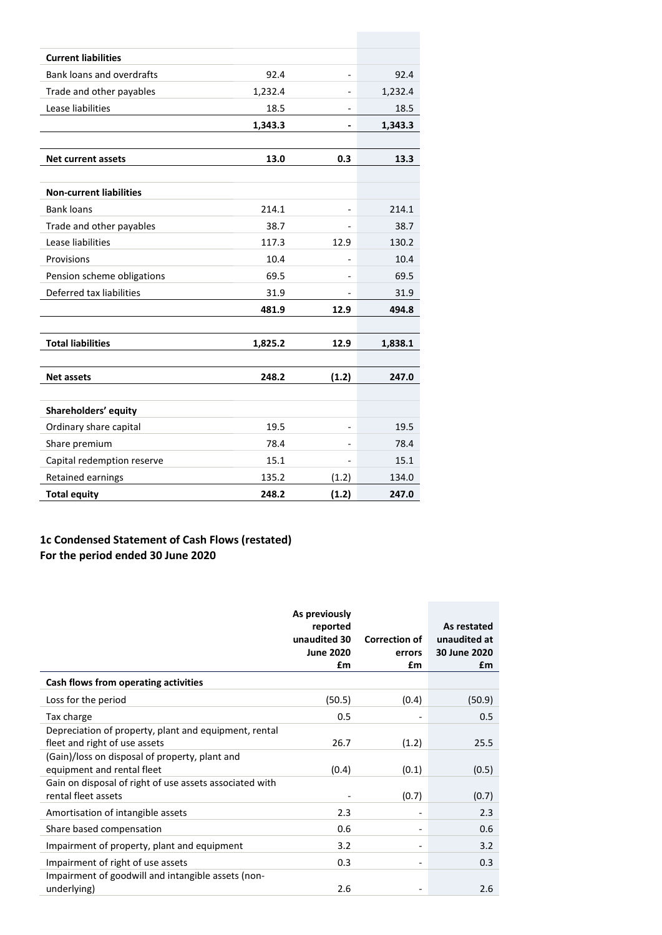| <b>Current liabilities</b>     |         |       |         |
|--------------------------------|---------|-------|---------|
| Bank loans and overdrafts      | 92.4    |       | 92.4    |
| Trade and other payables       | 1,232.4 |       | 1,232.4 |
| Lease liabilities              | 18.5    |       | 18.5    |
|                                | 1,343.3 |       | 1,343.3 |
|                                |         |       |         |
| <b>Net current assets</b>      | 13.0    | 0.3   | 13.3    |
|                                |         |       |         |
| <b>Non-current liabilities</b> |         |       |         |
| <b>Bank loans</b>              | 214.1   |       | 214.1   |
| Trade and other payables       | 38.7    |       | 38.7    |
| Lease liabilities              | 117.3   | 12.9  | 130.2   |
| Provisions                     | 10.4    |       | 10.4    |
| Pension scheme obligations     | 69.5    |       | 69.5    |
| Deferred tax liabilities       | 31.9    |       | 31.9    |
|                                | 481.9   | 12.9  | 494.8   |
|                                |         |       |         |
| <b>Total liabilities</b>       | 1,825.2 | 12.9  | 1,838.1 |
|                                |         |       |         |
| <b>Net assets</b>              | 248.2   | (1.2) | 247.0   |
|                                |         |       |         |
| Shareholders' equity           |         |       |         |
| Ordinary share capital         | 19.5    |       | 19.5    |
| Share premium                  | 78.4    |       | 78.4    |
| Capital redemption reserve     | 15.1    |       | 15.1    |
| Retained earnings              | 135.2   | (1.2) | 134.0   |
| <b>Total equity</b>            | 248.2   | (1.2) | 247.0   |

# **1c Condensed Statement of Cash Flows (restated) For the period ended 30 June 2020**

|                                                                                        | As previously<br>reported<br>unaudited 30<br><b>June 2020</b><br>£m | <b>Correction of</b><br>errors<br>£m | As restated<br>unaudited at<br>30 June 2020<br>£m |
|----------------------------------------------------------------------------------------|---------------------------------------------------------------------|--------------------------------------|---------------------------------------------------|
| Cash flows from operating activities                                                   |                                                                     |                                      |                                                   |
| Loss for the period                                                                    | (50.5)                                                              | (0.4)                                | (50.9)                                            |
| Tax charge                                                                             | 0.5                                                                 |                                      | 0.5                                               |
| Depreciation of property, plant and equipment, rental<br>fleet and right of use assets | 26.7                                                                | (1.2)                                | 25.5                                              |
| (Gain)/loss on disposal of property, plant and<br>equipment and rental fleet           | (0.4)                                                               | (0.1)                                | (0.5)                                             |
| Gain on disposal of right of use assets associated with<br>rental fleet assets         |                                                                     | (0.7)                                | (0.7)                                             |
| Amortisation of intangible assets                                                      | 2.3                                                                 | $\overline{\phantom{a}}$             | 2.3                                               |
| Share based compensation                                                               | 0.6                                                                 | $\overline{\phantom{a}}$             | 0.6                                               |
| Impairment of property, plant and equipment                                            | 3.2                                                                 |                                      | 3.2                                               |
| Impairment of right of use assets                                                      | 0.3                                                                 | $\overline{\phantom{a}}$             | 0.3                                               |
| Impairment of goodwill and intangible assets (non-<br>underlying)                      | 2.6                                                                 |                                      | 2.6                                               |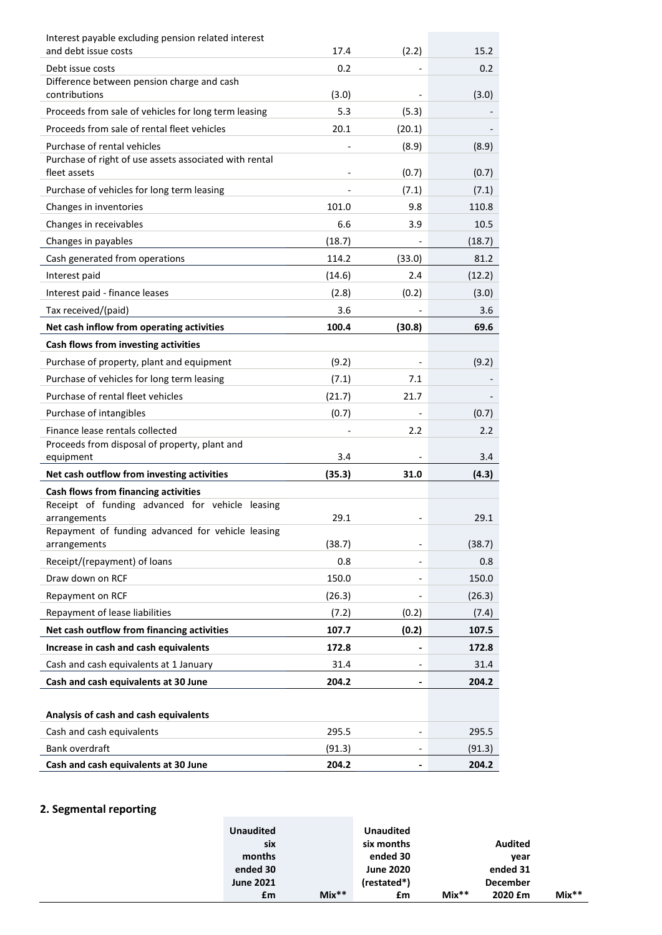| Interest payable excluding pension related interest                    |                 |        |                 |
|------------------------------------------------------------------------|-----------------|--------|-----------------|
| and debt issue costs                                                   | 17.4            | (2.2)  | 15.2            |
| Debt issue costs                                                       | 0.2             |        | 0.2             |
| Difference between pension charge and cash<br>contributions            | (3.0)           |        | (3.0)           |
| Proceeds from sale of vehicles for long term leasing                   | 5.3             | (5.3)  |                 |
| Proceeds from sale of rental fleet vehicles                            | 20.1            | (20.1) |                 |
| Purchase of rental vehicles                                            |                 | (8.9)  | (8.9)           |
| Purchase of right of use assets associated with rental<br>fleet assets |                 | (0.7)  | (0.7)           |
| Purchase of vehicles for long term leasing                             |                 | (7.1)  | (7.1)           |
| Changes in inventories                                                 | 101.0           | 9.8    | 110.8           |
| Changes in receivables                                                 | 6.6             | 3.9    | 10.5            |
| Changes in payables                                                    | (18.7)          |        | (18.7)          |
| Cash generated from operations                                         | 114.2           | (33.0) | 81.2            |
| Interest paid                                                          | (14.6)          | 2.4    | (12.2)          |
| Interest paid - finance leases                                         | (2.8)           | (0.2)  | (3.0)           |
| Tax received/(paid)                                                    | 3.6             |        | 3.6             |
| Net cash inflow from operating activities                              | 100.4           | (30.8) | 69.6            |
| Cash flows from investing activities                                   |                 |        |                 |
| Purchase of property, plant and equipment                              | (9.2)           |        | (9.2)           |
| Purchase of vehicles for long term leasing                             | (7.1)           | 7.1    |                 |
| Purchase of rental fleet vehicles                                      | (21.7)          | 21.7   |                 |
| Purchase of intangibles                                                | (0.7)           |        | (0.7)           |
| Finance lease rentals collected                                        |                 | 2.2    | 2.2             |
| Proceeds from disposal of property, plant and                          |                 |        |                 |
| equipment                                                              | 3.4             |        | 3.4             |
| Net cash outflow from investing activities                             | (35.3)          | 31.0   | (4.3)           |
| Cash flows from financing activities                                   |                 |        |                 |
| Receipt of funding advanced for vehicle leasing<br>arrangements        | 29.1            |        | 29.1            |
| Repayment of funding advanced for vehicle leasing                      |                 |        |                 |
| arrangements                                                           | (38.7)          |        | (38.7)          |
| Receipt/(repayment) of loans                                           |                 |        | 0.8             |
|                                                                        | 0.8             |        |                 |
| Draw down on RCF                                                       | 150.0           |        | 150.0           |
| Repayment on RCF                                                       | (26.3)          |        | (26.3)          |
| Repayment of lease liabilities                                         | (7.2)           | (0.2)  | (7.4)           |
| Net cash outflow from financing activities                             | 107.7           | (0.2)  | 107.5           |
| Increase in cash and cash equivalents                                  | 172.8           |        | 172.8           |
| Cash and cash equivalents at 1 January                                 | 31.4            |        | 31.4            |
| Cash and cash equivalents at 30 June                                   | 204.2           |        | 204.2           |
|                                                                        |                 |        |                 |
| Analysis of cash and cash equivalents                                  |                 |        |                 |
| Cash and cash equivalents<br>Bank overdraft                            | 295.5<br>(91.3) |        | 295.5<br>(91.3) |

# **2. Segmental reporting**

|         |                 |         | <b>Unaudited</b> |         | <b>Unaudited</b> |  |
|---------|-----------------|---------|------------------|---------|------------------|--|
|         | <b>Audited</b>  |         | six months       |         | six              |  |
|         | year            |         | ended 30         |         | months           |  |
|         | ended 31        |         | <b>June 2020</b> |         | ended 30         |  |
|         | <b>December</b> |         | (restated*)      |         | <b>June 2021</b> |  |
| $Mix**$ | 2020 £m         | $Mix**$ | £m               | $Mix**$ | £m               |  |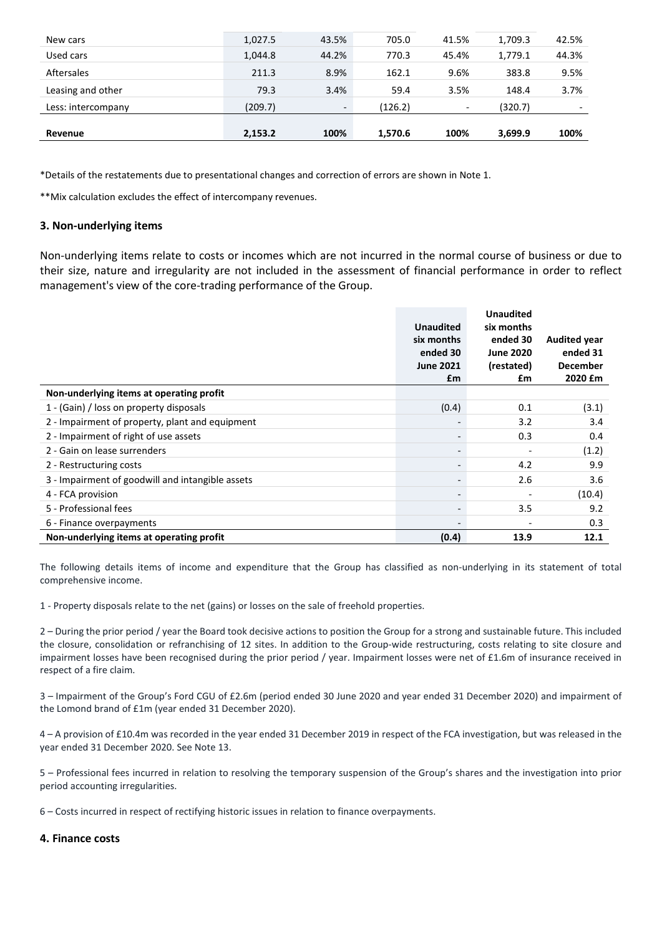| Revenue            | 2,153.2 | 100%                     | 1,570.6 | 100%                     | 3,699.9 | 100%                     |
|--------------------|---------|--------------------------|---------|--------------------------|---------|--------------------------|
| Less: intercompany | (209.7) | $\overline{\phantom{a}}$ | (126.2) | $\overline{\phantom{a}}$ | (320.7) | $\overline{\phantom{0}}$ |
| Leasing and other  | 79.3    | 3.4%                     | 59.4    | 3.5%                     | 148.4   | 3.7%                     |
| Aftersales         | 211.3   | 8.9%                     | 162.1   | 9.6%                     | 383.8   | 9.5%                     |
| Used cars          | 1,044.8 | 44.2%                    | 770.3   | 45.4%                    | 1,779.1 | 44.3%                    |
| New cars           | 1,027.5 | 43.5%                    | 705.0   | 41.5%                    | 1,709.3 | 42.5%                    |

\*Details of the restatements due to presentational changes and correction of errors are shown in Note 1.

\*\*Mix calculation excludes the effect of intercompany revenues.

### **3. Non-underlying items**

Non-underlying items relate to costs or incomes which are not incurred in the normal course of business or due to their size, nature and irregularity are not included in the assessment of financial performance in order to reflect management's view of the core-trading performance of the Group.

|                                                  |                  | <b>Unaudited</b> |                     |
|--------------------------------------------------|------------------|------------------|---------------------|
|                                                  | <b>Unaudited</b> | six months       |                     |
|                                                  | six months       | ended 30         | <b>Audited year</b> |
|                                                  | ended 30         | <b>June 2020</b> | ended 31            |
|                                                  | <b>June 2021</b> | (restated)       | <b>December</b>     |
|                                                  | £m               | £m               | 2020 £m             |
| Non-underlying items at operating profit         |                  |                  |                     |
| 1 - (Gain) / loss on property disposals          | (0.4)            | 0.1              | (3.1)               |
| 2 - Impairment of property, plant and equipment  |                  | 3.2              | 3.4                 |
| 2 - Impairment of right of use assets            |                  | 0.3              | 0.4                 |
| 2 - Gain on lease surrenders                     |                  |                  | (1.2)               |
| 2 - Restructuring costs                          |                  | 4.2              | 9.9                 |
| 3 - Impairment of goodwill and intangible assets |                  | 2.6              | 3.6                 |
| 4 - FCA provision                                |                  |                  | (10.4)              |
| 5 - Professional fees                            |                  | 3.5              | 9.2                 |
| 6 - Finance overpayments                         |                  |                  | 0.3                 |
| Non-underlying items at operating profit         | (0.4)            | 13.9             | 12.1                |

The following details items of income and expenditure that the Group has classified as non-underlying in its statement of total comprehensive income.

1 - Property disposals relate to the net (gains) or losses on the sale of freehold properties.

2 – During the prior period / year the Board took decisive actions to position the Group for a strong and sustainable future. This included the closure, consolidation or refranchising of 12 sites. In addition to the Group-wide restructuring, costs relating to site closure and impairment losses have been recognised during the prior period / year. Impairment losses were net of £1.6m of insurance received in respect of a fire claim.

3 – Impairment of the Group's Ford CGU of £2.6m (period ended 30 June 2020 and year ended 31 December 2020) and impairment of the Lomond brand of £1m (year ended 31 December 2020).

4 – A provision of £10.4m was recorded in the year ended 31 December 2019 in respect of the FCA investigation, but was released in the year ended 31 December 2020. See Note 13.

5 – Professional fees incurred in relation to resolving the temporary suspension of the Group's shares and the investigation into prior period accounting irregularities.

6 – Costs incurred in respect of rectifying historic issues in relation to finance overpayments.

#### **4. Finance costs**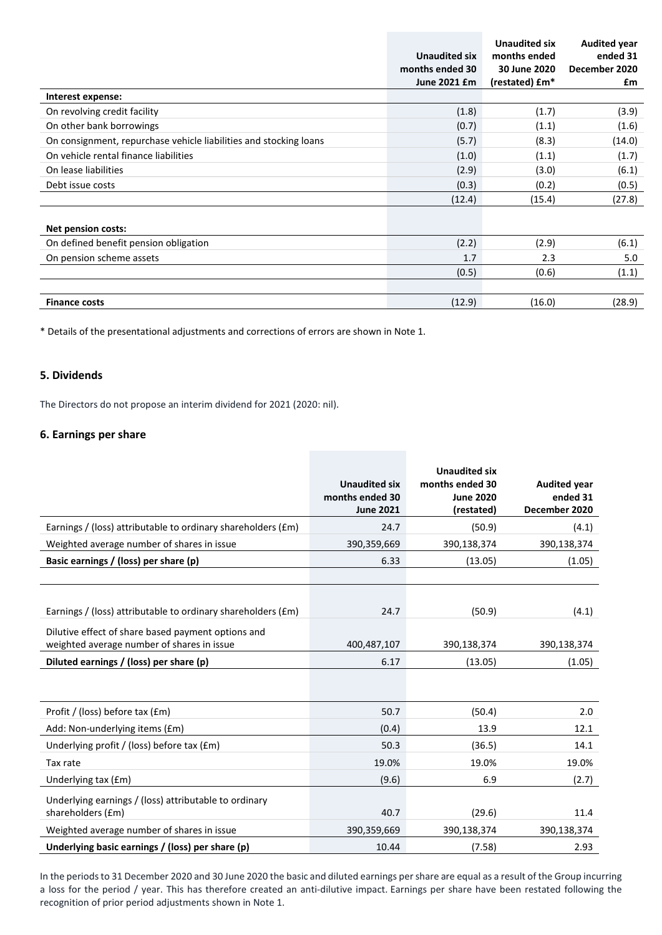|                                                                   | <b>Unaudited six</b> | <b>Unaudited six</b><br>months ended | <b>Audited year</b><br>ended 31 |
|-------------------------------------------------------------------|----------------------|--------------------------------------|---------------------------------|
|                                                                   | months ended 30      | 30 June 2020                         | December 2020                   |
|                                                                   | June 2021 £m         |                                      |                                 |
|                                                                   |                      | (restated) £m*                       | £m                              |
| Interest expense:                                                 |                      |                                      |                                 |
| On revolving credit facility                                      | (1.8)                | (1.7)                                | (3.9)                           |
| On other bank borrowings                                          | (0.7)                | (1.1)                                | (1.6)                           |
| On consignment, repurchase vehicle liabilities and stocking loans | (5.7)                | (8.3)                                | (14.0)                          |
| On vehicle rental finance liabilities                             | (1.0)                | (1.1)                                | (1.7)                           |
| On lease liabilities                                              | (2.9)                | (3.0)                                | (6.1)                           |
| Debt issue costs                                                  | (0.3)                | (0.2)                                | (0.5)                           |
|                                                                   | (12.4)               | (15.4)                               | (27.8)                          |
|                                                                   |                      |                                      |                                 |
| <b>Net pension costs:</b>                                         |                      |                                      |                                 |
| On defined benefit pension obligation                             | (2.2)                | (2.9)                                | (6.1)                           |
| On pension scheme assets                                          | 1.7                  | 2.3                                  | 5.0                             |
|                                                                   | (0.5)                | (0.6)                                | (1.1)                           |
|                                                                   |                      |                                      |                                 |
| <b>Finance costs</b>                                              | (12.9)               | (16.0)                               | (28.9)                          |
|                                                                   |                      |                                      |                                 |

\* Details of the presentational adjustments and corrections of errors are shown in Note 1.

# **5. Dividends**

The Directors do not propose an interim dividend for 2021 (2020: nil).

### **6. Earnings per share**

|                                                                                                  | <b>Unaudited six</b><br>months ended 30<br><b>June 2021</b> | <b>Unaudited six</b><br>months ended 30<br><b>June 2020</b><br>(restated) | <b>Audited year</b><br>ended 31<br>December 2020 |
|--------------------------------------------------------------------------------------------------|-------------------------------------------------------------|---------------------------------------------------------------------------|--------------------------------------------------|
| Earnings / (loss) attributable to ordinary shareholders (£m)                                     | 24.7                                                        | (50.9)                                                                    | (4.1)                                            |
| Weighted average number of shares in issue                                                       | 390,359,669                                                 | 390,138,374                                                               | 390,138,374                                      |
| Basic earnings / (loss) per share (p)                                                            | 6.33                                                        | (13.05)                                                                   | (1.05)                                           |
|                                                                                                  |                                                             |                                                                           |                                                  |
| Earnings / (loss) attributable to ordinary shareholders (£m)                                     | 24.7                                                        | (50.9)                                                                    | (4.1)                                            |
| Dilutive effect of share based payment options and<br>weighted average number of shares in issue | 400,487,107                                                 | 390,138,374                                                               | 390,138,374                                      |
| Diluted earnings / (loss) per share (p)                                                          | 6.17                                                        | (13.05)                                                                   | (1.05)                                           |
|                                                                                                  |                                                             |                                                                           |                                                  |
| Profit / (loss) before tax (£m)                                                                  | 50.7                                                        | (50.4)                                                                    | 2.0                                              |
| Add: Non-underlying items (£m)                                                                   | (0.4)                                                       | 13.9                                                                      | 12.1                                             |
| Underlying profit / (loss) before tax (£m)                                                       | 50.3                                                        | (36.5)                                                                    | 14.1                                             |
| Tax rate                                                                                         | 19.0%                                                       | 19.0%                                                                     | 19.0%                                            |
| Underlying tax (£m)                                                                              | (9.6)                                                       | 6.9                                                                       | (2.7)                                            |
| Underlying earnings / (loss) attributable to ordinary<br>shareholders (£m)                       | 40.7                                                        | (29.6)                                                                    | 11.4                                             |
| Weighted average number of shares in issue                                                       | 390,359,669                                                 | 390,138,374                                                               | 390,138,374                                      |
| Underlying basic earnings / (loss) per share (p)                                                 | 10.44                                                       | (7.58)                                                                    | 2.93                                             |

In the periods to 31 December 2020 and 30 June 2020 the basic and diluted earnings per share are equal as a result of the Group incurring a loss for the period / year. This has therefore created an anti-dilutive impact. Earnings per share have been restated following the recognition of prior period adjustments shown in Note 1.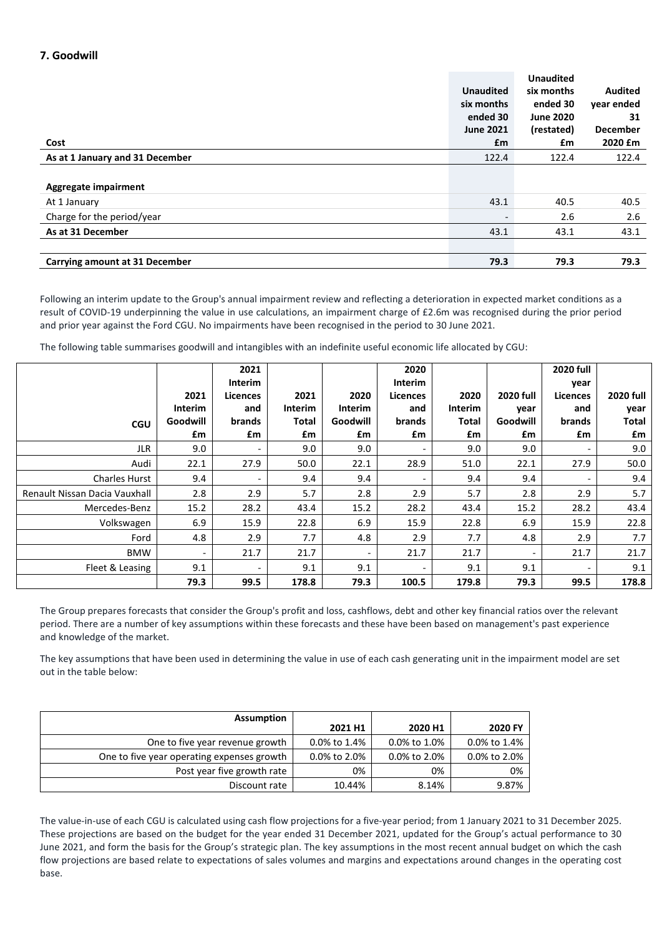# **7. Goodwill**

|                                       |                  | <b>Unaudited</b> |                 |
|---------------------------------------|------------------|------------------|-----------------|
|                                       | <b>Unaudited</b> | six months       | <b>Audited</b>  |
|                                       | six months       | ended 30         | year ended      |
|                                       | ended 30         | <b>June 2020</b> | 31              |
|                                       | <b>June 2021</b> | (restated)       | <b>December</b> |
| Cost                                  | £m               | £m               | 2020 £m         |
| As at 1 January and 31 December       | 122.4            | 122.4            | 122.4           |
|                                       |                  |                  |                 |
| Aggregate impairment                  |                  |                  |                 |
| At 1 January                          | 43.1             | 40.5             | 40.5            |
| Charge for the period/year            |                  | 2.6              | 2.6             |
| As at 31 December                     | 43.1             | 43.1             | 43.1            |
|                                       |                  |                  |                 |
| <b>Carrying amount at 31 December</b> | 79.3             | 79.3             | 79.3            |

Following an interim update to the Group's annual impairment review and reflecting a deterioration in expected market conditions as a result of COVID-19 underpinning the value in use calculations, an impairment charge of £2.6m was recognised during the prior period and prior year against the Ford CGU. No impairments have been recognised in the period to 30 June 2021.

The following table summarises goodwill and intangibles with an indefinite useful economic life allocated by CGU:

|                               |                          | 2021<br><b>Interim</b>   |         |                          | 2020<br>Interim          |         |                  | <b>2020 full</b><br>year |                  |
|-------------------------------|--------------------------|--------------------------|---------|--------------------------|--------------------------|---------|------------------|--------------------------|------------------|
|                               | 2021                     | <b>Licences</b>          | 2021    | 2020                     | <b>Licences</b>          | 2020    | <b>2020 full</b> | <b>Licences</b>          | <b>2020 full</b> |
|                               | <b>Interim</b>           | and                      | Interim | Interim                  | and                      | Interim | year             | and                      | year             |
| <b>CGU</b>                    | Goodwill                 | brands                   | Total   | Goodwill                 | brands                   | Total   | Goodwill         | brands                   | Total            |
|                               | £m                       | £m                       | £m      | £m                       | £m                       | £m      | £m               | £m                       | £m               |
| <b>JLR</b>                    | 9.0                      | $\overline{\phantom{a}}$ | 9.0     | 9.0                      | $\overline{\phantom{0}}$ | 9.0     | 9.0              | $\overline{\phantom{a}}$ | 9.0              |
| Audi                          | 22.1                     | 27.9                     | 50.0    | 22.1                     | 28.9                     | 51.0    | 22.1             | 27.9                     | 50.0             |
| <b>Charles Hurst</b>          | 9.4                      | $\overline{\phantom{a}}$ | 9.4     | 9.4                      | $\overline{\phantom{0}}$ | 9.4     | 9.4              | $\overline{\phantom{a}}$ | 9.4              |
| Renault Nissan Dacia Vauxhall | 2.8                      | 2.9                      | 5.7     | 2.8                      | 2.9                      | 5.7     | 2.8              | 2.9                      | 5.7              |
| Mercedes-Benz                 | 15.2                     | 28.2                     | 43.4    | 15.2                     | 28.2                     | 43.4    | 15.2             | 28.2                     | 43.4             |
| Volkswagen                    | 6.9                      | 15.9                     | 22.8    | 6.9                      | 15.9                     | 22.8    | 6.9              | 15.9                     | 22.8             |
| Ford                          | 4.8                      | 2.9                      | 7.7     | 4.8                      | 2.9                      | 7.7     | 4.8              | 2.9                      | 7.7              |
| <b>BMW</b>                    | $\overline{\phantom{a}}$ | 21.7                     | 21.7    | $\overline{\phantom{a}}$ | 21.7                     | 21.7    |                  | 21.7                     | 21.7             |
| Fleet & Leasing               | 9.1                      | $\overline{\phantom{a}}$ | 9.1     | 9.1                      | $\overline{\phantom{a}}$ | 9.1     | 9.1              | $\overline{\phantom{0}}$ | 9.1              |
|                               | 79.3                     | 99.5                     | 178.8   | 79.3                     | 100.5                    | 179.8   | 79.3             | 99.5                     | 178.8            |

The Group prepares forecasts that consider the Group's profit and loss, cashflows, debt and other key financial ratios over the relevant period. There are a number of key assumptions within these forecasts and these have been based on management's past experience and knowledge of the market.

The key assumptions that have been used in determining the value in use of each cash generating unit in the impairment model are set out in the table below:

| <b>Assumption</b>                          |              |              |              |
|--------------------------------------------|--------------|--------------|--------------|
|                                            | 2021 H1      | 2020 H1      | 2020 FY      |
| One to five year revenue growth            | 0.0% to 1.4% | 0.0% to 1.0% | 0.0% to 1.4% |
| One to five year operating expenses growth | 0.0% to 2.0% | 0.0% to 2.0% | 0.0% to 2.0% |
| Post year five growth rate                 | 0%           | 0%           | 0%           |
| Discount rate                              | 10.44%       | 8.14%        | 9.87%        |

The value-in-use of each CGU is calculated using cash flow projections for a five-year period; from 1 January 2021 to 31 December 2025. These projections are based on the budget for the year ended 31 December 2021, updated for the Group's actual performance to 30 June 2021, and form the basis for the Group's strategic plan. The key assumptions in the most recent annual budget on which the cash flow projections are based relate to expectations of sales volumes and margins and expectations around changes in the operating cost base.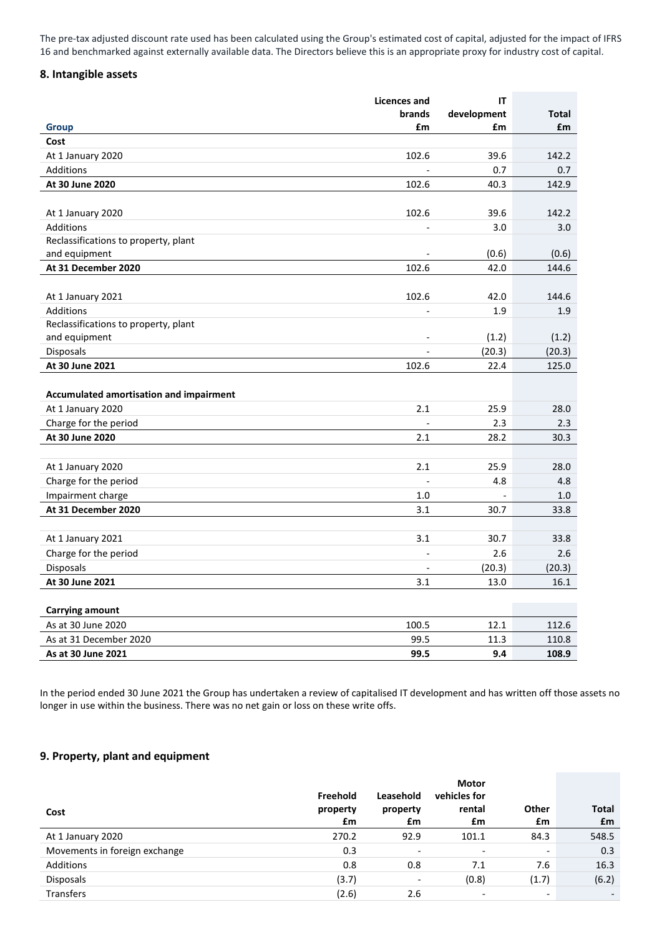The pre-tax adjusted discount rate used has been calculated using the Group's estimated cost of capital, adjusted for the impact of IFRS 16 and benchmarked against externally available data. The Directors believe this is an appropriate proxy for industry cost of capital.

### **8. Intangible assets**

|                                         | <b>Licences and</b>      | IT          |              |
|-----------------------------------------|--------------------------|-------------|--------------|
|                                         | brands                   | development | <b>Total</b> |
| <b>Group</b>                            | £m                       | £m          | £m           |
| Cost                                    |                          |             |              |
| At 1 January 2020                       | 102.6                    | 39.6        | 142.2        |
| Additions                               |                          | 0.7         | 0.7          |
| At 30 June 2020                         | 102.6                    | 40.3        | 142.9        |
|                                         |                          |             |              |
| At 1 January 2020                       | 102.6                    | 39.6        | 142.2        |
| <b>Additions</b>                        |                          | 3.0         | 3.0          |
| Reclassifications to property, plant    |                          |             |              |
| and equipment                           |                          | (0.6)       | (0.6)        |
| At 31 December 2020                     | 102.6                    | 42.0        | 144.6        |
|                                         |                          |             |              |
| At 1 January 2021                       | 102.6                    | 42.0        | 144.6        |
| Additions                               | $\overline{\phantom{a}}$ | 1.9         | 1.9          |
| Reclassifications to property, plant    |                          |             |              |
| and equipment                           |                          | (1.2)       | (1.2)        |
| Disposals                               |                          | (20.3)      | (20.3)       |
| At 30 June 2021                         | 102.6                    | 22.4        | 125.0        |
|                                         |                          |             |              |
| Accumulated amortisation and impairment |                          |             |              |
| At 1 January 2020                       | 2.1                      | 25.9        | 28.0         |
| Charge for the period                   |                          | 2.3         | 2.3          |
| At 30 June 2020                         | 2.1                      | 28.2        | 30.3         |
|                                         |                          |             |              |
| At 1 January 2020                       | 2.1                      | 25.9        | 28.0         |
| Charge for the period                   |                          | 4.8         | 4.8          |
| Impairment charge                       | 1.0                      |             | 1.0          |
| At 31 December 2020                     | 3.1                      | 30.7        | 33.8         |
|                                         |                          |             |              |
| At 1 January 2021                       | 3.1                      | 30.7        | 33.8         |
| Charge for the period                   |                          | 2.6         | 2.6          |
| Disposals                               |                          | (20.3)      | (20.3)       |
| At 30 June 2021                         | 3.1                      | 13.0        | 16.1         |
|                                         |                          |             |              |
| <b>Carrying amount</b>                  |                          |             |              |
| As at 30 June 2020                      | 100.5                    | 12.1        | 112.6        |
| As at 31 December 2020                  | 99.5                     | 11.3        | 110.8        |
| As at 30 June 2021                      | 99.5                     | 9.4         | 108.9        |

In the period ended 30 June 2021 the Group has undertaken a review of capitalised IT development and has written off those assets no longer in use within the business. There was no net gain or loss on these write offs.

# **9. Property, plant and equipment**

| Cost                          | Freehold<br>property<br>£m | Leasehold<br>property<br>£m  | <b>Motor</b><br>vehicles for<br>rental<br>£m | Other<br>£m              | <b>Total</b><br>£m |
|-------------------------------|----------------------------|------------------------------|----------------------------------------------|--------------------------|--------------------|
| At 1 January 2020             | 270.2                      | 92.9                         | 101.1                                        | 84.3                     | 548.5              |
| Movements in foreign exchange | 0.3                        | $\overline{\phantom{0}}$     | $\overline{\phantom{0}}$                     | $\overline{\phantom{a}}$ | 0.3                |
| Additions                     | 0.8                        | 0.8                          | 7.1                                          | 7.6                      | 16.3               |
| <b>Disposals</b>              | (3.7)                      | $\qquad \qquad \blacksquare$ | (0.8)                                        | (1.7)                    | (6.2)              |
| <b>Transfers</b>              | (2.6)                      | 2.6                          | $\overline{\phantom{0}}$                     | $\overline{\phantom{a}}$ |                    |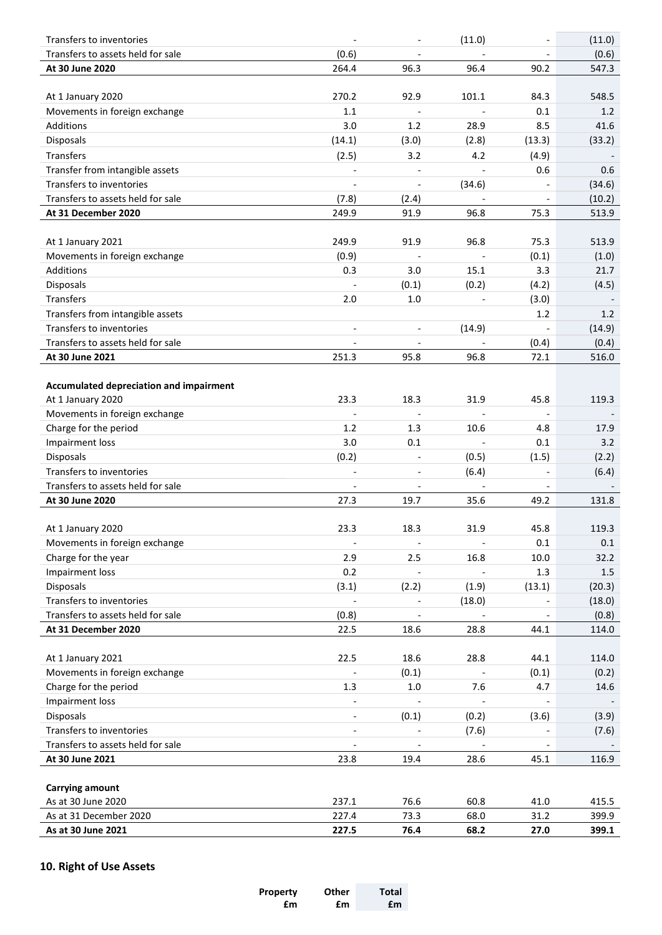| Transfers to inventories                       |                          |                          | (11.0)                       |                          | (11.0) |
|------------------------------------------------|--------------------------|--------------------------|------------------------------|--------------------------|--------|
| Transfers to assets held for sale              | (0.6)                    |                          |                              |                          | (0.6)  |
| At 30 June 2020                                | 264.4                    | 96.3                     | 96.4                         | 90.2                     | 547.3  |
|                                                |                          |                          |                              |                          |        |
| At 1 January 2020                              | 270.2                    | 92.9                     | 101.1                        | 84.3                     | 548.5  |
| Movements in foreign exchange                  | 1.1                      | $\blacksquare$           | $\frac{1}{2}$                | 0.1                      | 1.2    |
| Additions                                      | 3.0                      | 1.2                      | 28.9                         | 8.5                      | 41.6   |
| Disposals                                      | (14.1)                   | (3.0)                    | (2.8)                        | (13.3)                   | (33.2) |
| Transfers                                      | (2.5)                    | 3.2                      | 4.2                          | (4.9)                    |        |
| Transfer from intangible assets                | $\overline{\phantom{a}}$ | $\overline{\phantom{a}}$ | $\qquad \qquad \blacksquare$ | 0.6                      | 0.6    |
| Transfers to inventories                       | $\blacksquare$           | $\overline{\phantom{a}}$ | (34.6)                       | $\overline{\phantom{a}}$ | (34.6) |
| Transfers to assets held for sale              | (7.8)                    | (2.4)                    | $\overline{a}$               | $\overline{a}$           | (10.2) |
| At 31 December 2020                            | 249.9                    | 91.9                     | 96.8                         | 75.3                     | 513.9  |
|                                                |                          |                          |                              |                          |        |
| At 1 January 2021                              | 249.9                    | 91.9                     | 96.8                         | 75.3                     | 513.9  |
| Movements in foreign exchange                  | (0.9)                    |                          |                              | (0.1)                    | (1.0)  |
| Additions                                      | 0.3                      | 3.0                      | 15.1                         | 3.3                      | 21.7   |
| Disposals                                      |                          | (0.1)                    | (0.2)                        | (4.2)                    | (4.5)  |
| Transfers                                      | 2.0                      | 1.0                      |                              | (3.0)                    |        |
| Transfers from intangible assets               |                          |                          |                              | 1.2                      | 1.2    |
| Transfers to inventories                       | $\overline{\phantom{a}}$ | $\overline{\phantom{a}}$ | (14.9)                       |                          | (14.9) |
| Transfers to assets held for sale              |                          | $\overline{\phantom{a}}$ | $\overline{\phantom{a}}$     | (0.4)                    | (0.4)  |
| At 30 June 2021                                | 251.3                    | 95.8                     | 96.8                         | 72.1                     | 516.0  |
|                                                |                          |                          |                              |                          |        |
| <b>Accumulated depreciation and impairment</b> |                          |                          |                              |                          |        |
| At 1 January 2020                              | 23.3                     | 18.3                     | 31.9                         | 45.8                     | 119.3  |
| Movements in foreign exchange                  |                          |                          |                              |                          |        |
| Charge for the period                          | 1.2                      | 1.3                      | 10.6                         | 4.8                      | 17.9   |
| Impairment loss                                | 3.0                      | 0.1                      |                              | 0.1                      | 3.2    |
| Disposals                                      | (0.2)                    | $\overline{\phantom{a}}$ | (0.5)                        | (1.5)                    | (2.2)  |
| Transfers to inventories                       | $\blacksquare$           |                          | (6.4)                        |                          | (6.4)  |
| Transfers to assets held for sale              |                          |                          |                              |                          |        |
| At 30 June 2020                                | 27.3                     | 19.7                     | 35.6                         | 49.2                     | 131.8  |
|                                                |                          |                          |                              |                          |        |
| At 1 January 2020                              | 23.3                     | 18.3                     | 31.9                         | 45.8                     | 119.3  |
| Movements in foreign exchange                  | $\overline{\phantom{a}}$ | $\overline{\phantom{a}}$ | $\blacksquare$               | 0.1                      | 0.1    |
| Charge for the year                            | 2.9                      | 2.5                      | 16.8                         | 10.0                     | 32.2   |
| Impairment loss                                | 0.2                      |                          |                              | 1.3                      | 1.5    |
| <b>Disposals</b>                               | (3.1)                    | (2.2)                    | (1.9)                        | (13.1)                   | (20.3) |
| Transfers to inventories                       |                          |                          | (18.0)                       |                          | (18.0) |
| Transfers to assets held for sale              | (0.8)                    |                          |                              |                          | (0.8)  |
| At 31 December 2020                            | 22.5                     | 18.6                     | 28.8                         | 44.1                     | 114.0  |
|                                                |                          |                          |                              |                          |        |
| At 1 January 2021                              | 22.5                     | 18.6                     | 28.8                         | 44.1                     | 114.0  |
| Movements in foreign exchange                  |                          | (0.1)                    | $\qquad \qquad \blacksquare$ | (0.1)                    | (0.2)  |
| Charge for the period                          | 1.3                      | $1.0\,$                  | 7.6                          | 4.7                      | 14.6   |
| Impairment loss                                |                          |                          |                              |                          |        |
| Disposals                                      | $\overline{\phantom{a}}$ | (0.1)                    | (0.2)                        | (3.6)                    | (3.9)  |
| Transfers to inventories                       | $\overline{\phantom{a}}$ | $\overline{\phantom{a}}$ | (7.6)                        |                          | (7.6)  |
| Transfers to assets held for sale              | $\overline{\phantom{a}}$ |                          | $\overline{\phantom{a}}$     |                          |        |
| At 30 June 2021                                | 23.8                     | 19.4                     | 28.6                         | 45.1                     | 116.9  |
|                                                |                          |                          |                              |                          |        |
| <b>Carrying amount</b>                         |                          |                          |                              |                          |        |
| As at 30 June 2020                             | 237.1                    | 76.6                     | 60.8                         | 41.0                     | 415.5  |
| As at 31 December 2020                         | 227.4                    | 73.3                     | 68.0                         | 31.2                     | 399.9  |
| As at 30 June 2021                             | 227.5                    | 76.4                     | 68.2                         | 27.0                     | 399.1  |

# **10. Right of Use Assets**

| Property | Other | Total |
|----------|-------|-------|
| £m       | £m    | £m    |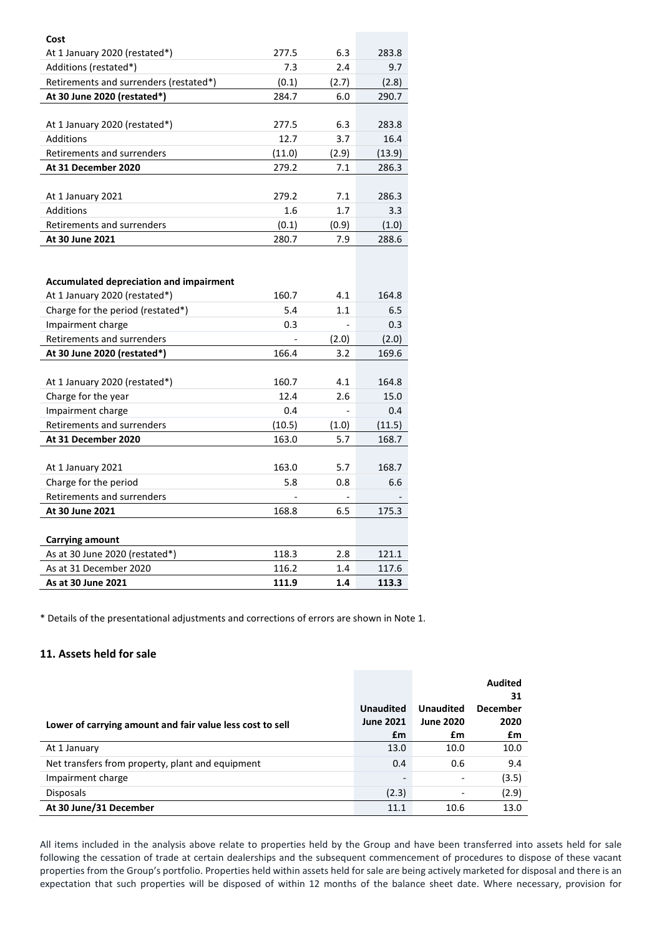| Cost                                           |        |       |        |
|------------------------------------------------|--------|-------|--------|
| At 1 January 2020 (restated*)                  | 277.5  | 6.3   | 283.8  |
| Additions (restated*)                          | 7.3    | 2.4   | 9.7    |
| Retirements and surrenders (restated*)         | (0.1)  | (2.7) | (2.8)  |
| At 30 June 2020 (restated*)                    | 284.7  | 6.0   | 290.7  |
|                                                |        |       |        |
| At 1 January 2020 (restated*)                  | 277.5  | 6.3   | 283.8  |
| <b>Additions</b>                               | 12.7   | 3.7   | 16.4   |
| Retirements and surrenders                     | (11.0) | (2.9) | (13.9) |
| At 31 December 2020                            | 279.2  | 7.1   | 286.3  |
|                                                |        |       |        |
| At 1 January 2021                              | 279.2  | 7.1   | 286.3  |
| Additions                                      | 1.6    | 1.7   | 3.3    |
| Retirements and surrenders                     | (0.1)  | (0.9) | (1.0)  |
| At 30 June 2021                                | 280.7  | 7.9   | 288.6  |
|                                                |        |       |        |
|                                                |        |       |        |
| <b>Accumulated depreciation and impairment</b> |        |       |        |
| At 1 January 2020 (restated*)                  | 160.7  | 4.1   | 164.8  |
| Charge for the period (restated*)              | 5.4    | 1.1   | 6.5    |
| Impairment charge                              | 0.3    |       | 0.3    |
| Retirements and surrenders                     |        | (2.0) | (2.0)  |
| At 30 June 2020 (restated*)                    | 166.4  | 3.2   | 169.6  |
|                                                |        |       |        |
| At 1 January 2020 (restated*)                  | 160.7  | 4.1   | 164.8  |
| Charge for the year                            | 12.4   | 2.6   | 15.0   |
| Impairment charge                              | 0.4    |       | 0.4    |
| Retirements and surrenders                     | (10.5) | (1.0) | (11.5) |
| At 31 December 2020                            | 163.0  | 5.7   | 168.7  |
|                                                |        |       |        |
| At 1 January 2021                              | 163.0  | 5.7   | 168.7  |
| Charge for the period                          | 5.8    | 0.8   | 6.6    |
| Retirements and surrenders                     |        |       |        |
| At 30 June 2021                                | 168.8  | 6.5   | 175.3  |
|                                                |        |       |        |
| <b>Carrying amount</b>                         |        |       |        |
| As at 30 June 2020 (restated*)                 | 118.3  | 2.8   | 121.1  |
| As at 31 December 2020                         | 116.2  | 1.4   | 117.6  |
| As at 30 June 2021                             | 111.9  | 1.4   | 113.3  |

\* Details of the presentational adjustments and corrections of errors are shown in Note 1.

# **11. Assets held for sale**

|                                                           |                                      |                                      | <b>Audited</b><br>31    |
|-----------------------------------------------------------|--------------------------------------|--------------------------------------|-------------------------|
|                                                           | <b>Unaudited</b><br><b>June 2021</b> | <b>Unaudited</b><br><b>June 2020</b> | <b>December</b><br>2020 |
| Lower of carrying amount and fair value less cost to sell | £m                                   | £m                                   | £m                      |
| At 1 January                                              | 13.0                                 | 10.0                                 | 10.0                    |
| Net transfers from property, plant and equipment          | 0.4                                  | 0.6                                  | 9.4                     |
| Impairment charge                                         | $\overline{\phantom{0}}$             | $\qquad \qquad \blacksquare$         | (3.5)                   |
| <b>Disposals</b>                                          | (2.3)                                | $\overline{a}$                       | (2.9)                   |
| At 30 June/31 December                                    | 11.1                                 | 10.6                                 | 13.0                    |

All items included in the analysis above relate to properties held by the Group and have been transferred into assets held for sale following the cessation of trade at certain dealerships and the subsequent commencement of procedures to dispose of these vacant properties from the Group's portfolio. Properties held within assets held for sale are being actively marketed for disposal and there is an expectation that such properties will be disposed of within 12 months of the balance sheet date. Where necessary, provision for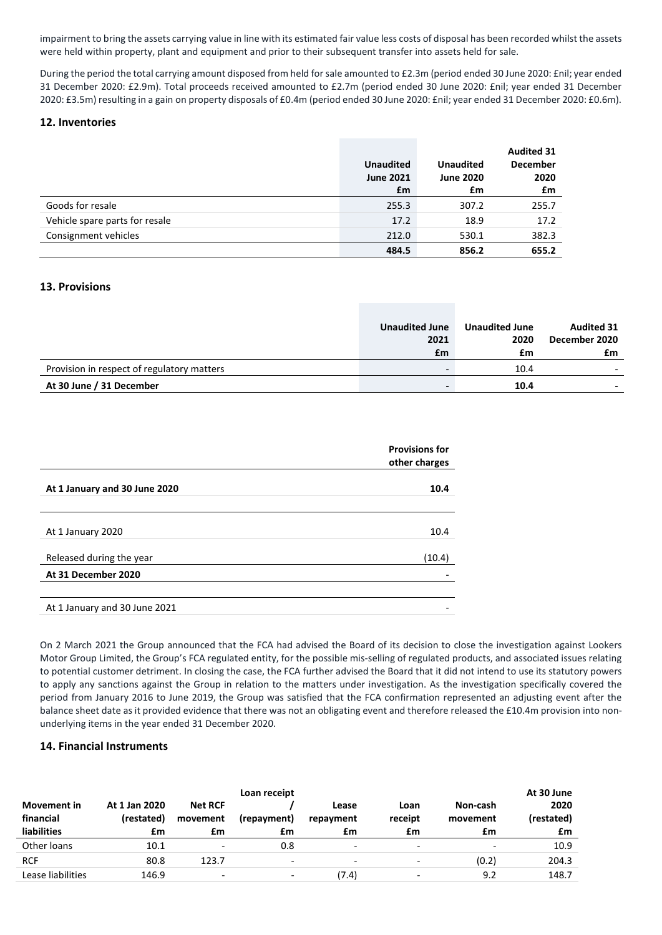impairment to bring the assets carrying value in line with its estimated fair value less costs of disposal has been recorded whilst the assets were held within property, plant and equipment and prior to their subsequent transfer into assets held for sale.

During the period the total carrying amount disposed from held for sale amounted to £2.3m (period ended 30 June 2020: £nil; year ended 31 December 2020: £2.9m). Total proceeds received amounted to £2.7m (period ended 30 June 2020: £nil; year ended 31 December 2020: £3.5m) resulting in a gain on property disposals of £0.4m (period ended 30 June 2020: £nil; year ended 31 December 2020: £0.6m).

#### **12. Inventories**

|                                | <b>Unaudited</b><br><b>June 2021</b><br>£m | <b>Unaudited</b><br><b>June 2020</b><br>£m | <b>Audited 31</b><br><b>December</b><br>2020<br>£m |
|--------------------------------|--------------------------------------------|--------------------------------------------|----------------------------------------------------|
| Goods for resale               | 255.3                                      | 307.2                                      | 255.7                                              |
| Vehicle spare parts for resale | 17.2                                       | 18.9                                       | 17.2                                               |
| Consignment vehicles           | 212.0                                      | 530.1                                      | 382.3                                              |
|                                | 484.5                                      | 856.2                                      | 655.2                                              |

### **13. Provisions**

|                                            | <b>Unaudited June</b><br>2021 | <b>Unaudited June</b><br>2020 | <b>Audited 31</b><br>December 2020 |
|--------------------------------------------|-------------------------------|-------------------------------|------------------------------------|
|                                            | £m                            | £m                            | £m                                 |
| Provision in respect of regulatory matters |                               | 10.4                          |                                    |
| At 30 June / 31 December                   |                               | 10.4                          |                                    |

|                               | <b>Provisions for</b><br>other charges |
|-------------------------------|----------------------------------------|
| At 1 January and 30 June 2020 | 10.4                                   |
| At 1 January 2020             | 10.4                                   |
| Released during the year      | (10.4)                                 |
| At 31 December 2020           |                                        |
|                               |                                        |
| At 1 January and 30 June 2021 |                                        |

On 2 March 2021 the Group announced that the FCA had advised the Board of its decision to close the investigation against Lookers Motor Group Limited, the Group's FCA regulated entity, for the possible mis-selling of regulated products, and associated issues relating to potential customer detriment. In closing the case, the FCA further advised the Board that it did not intend to use its statutory powers to apply any sanctions against the Group in relation to the matters under investigation. As the investigation specifically covered the period from January 2016 to June 2019, the Group was satisfied that the FCA confirmation represented an adjusting event after the balance sheet date as it provided evidence that there was not an obligating event and therefore released the £10.4m provision into nonunderlying items in the year ended 31 December 2020.

#### **14. Financial Instruments**

|                                                       |                                   |                                  | Loan receipt             |                          |                              |                            | At 30 June               |
|-------------------------------------------------------|-----------------------------------|----------------------------------|--------------------------|--------------------------|------------------------------|----------------------------|--------------------------|
| <b>Movement in</b><br>financial<br><b>liabilities</b> | At 1 Jan 2020<br>(restated)<br>£m | <b>Net RCF</b><br>movement<br>£m | (repayment)<br>£m        | Lease<br>repayment<br>£m | Loan<br>receipt<br>£m        | Non-cash<br>movement<br>£m | 2020<br>(restated)<br>£m |
| Other loans                                           | 10.1                              | $\overline{\phantom{a}}$         | 0.8                      | $\overline{\phantom{0}}$ | $\overline{\phantom{0}}$     |                            | 10.9                     |
| <b>RCF</b>                                            | 80.8                              | 123.7                            | $\overline{\phantom{a}}$ | $\overline{\phantom{0}}$ | $\overline{\phantom{0}}$     | (0.2)                      | 204.3                    |
| Lease liabilities                                     | 146.9                             | $\overline{\phantom{a}}$         | $\overline{\phantom{a}}$ | (7.4)                    | $\qquad \qquad \blacksquare$ | 9.2                        | 148.7                    |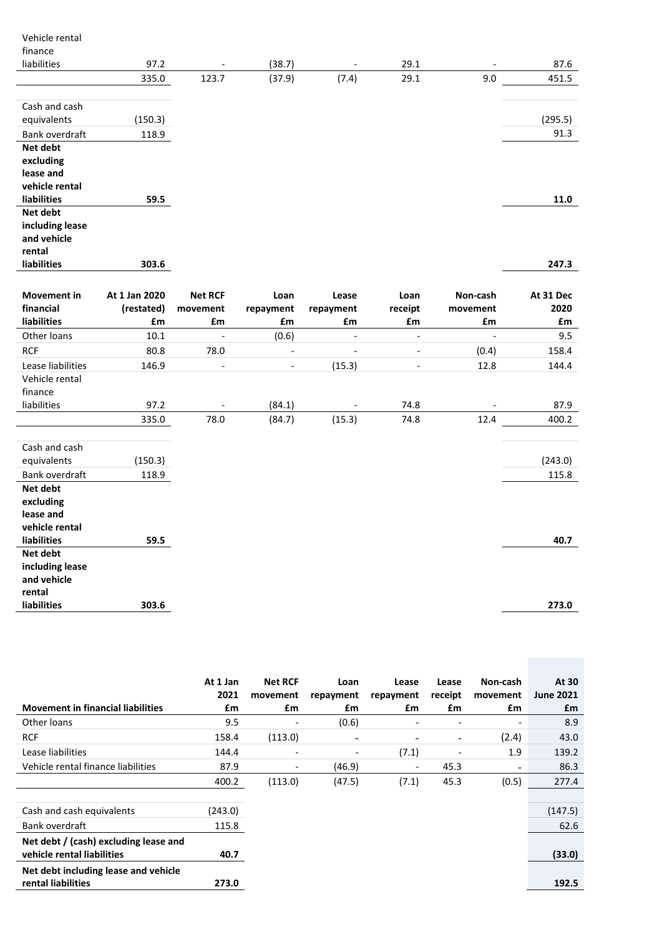| Vehicle rental        |               |                          |                              |                          |                          |                |           |
|-----------------------|---------------|--------------------------|------------------------------|--------------------------|--------------------------|----------------|-----------|
| finance               |               |                          |                              |                          |                          |                |           |
| liabilities           | 97.2          |                          | (38.7)                       |                          | 29.1                     |                | 87.6      |
|                       | 335.0         | 123.7                    | (37.9)                       | (7.4)                    | 29.1                     | 9.0            | 451.5     |
|                       |               |                          |                              |                          |                          |                |           |
| Cash and cash         |               |                          |                              |                          |                          |                |           |
| equivalents           | (150.3)       |                          |                              |                          |                          |                | (295.5)   |
| Bank overdraft        | 118.9         |                          |                              |                          |                          |                | 91.3      |
| Net debt              |               |                          |                              |                          |                          |                |           |
| excluding             |               |                          |                              |                          |                          |                |           |
| lease and             |               |                          |                              |                          |                          |                |           |
| vehicle rental        |               |                          |                              |                          |                          |                |           |
| liabilities           | 59.5          |                          |                              |                          |                          |                | 11.0      |
| Net debt              |               |                          |                              |                          |                          |                |           |
| including lease       |               |                          |                              |                          |                          |                |           |
| and vehicle<br>rental |               |                          |                              |                          |                          |                |           |
| liabilities           | 303.6         |                          |                              |                          |                          |                | 247.3     |
|                       |               |                          |                              |                          |                          |                |           |
|                       |               |                          |                              |                          |                          |                |           |
| <b>Movement</b> in    | At 1 Jan 2020 | <b>Net RCF</b>           | Loan                         | Lease                    | Loan                     | Non-cash       | At 31 Dec |
| financial             | (restated)    | movement                 | repayment                    | repayment                | receipt                  | movement       | 2020      |
| liabilities           | £m            | £m                       | £m                           | £m                       | £m                       | £m             | £m        |
| Other loans           | $10.1\,$      | $\blacksquare$           | (0.6)                        | $\overline{\phantom{a}}$ | $\overline{\phantom{a}}$ | $\blacksquare$ | 9.5       |
| <b>RCF</b>            | 80.8          | 78.0                     | $\qquad \qquad \blacksquare$ | $\overline{\phantom{a}}$ | $\overline{\phantom{a}}$ | (0.4)          | 158.4     |
| Lease liabilities     | 146.9         | $\overline{\phantom{a}}$ | $\overline{\phantom{a}}$     | (15.3)                   | $\overline{\phantom{a}}$ | 12.8           | 144.4     |
| Vehicle rental        |               |                          |                              |                          |                          |                |           |
| finance               |               |                          |                              |                          |                          |                |           |
| liabilities           | 97.2          |                          | (84.1)                       |                          | 74.8                     |                | 87.9      |
|                       | 335.0         | 78.0                     | (84.7)                       | (15.3)                   | 74.8                     | 12.4           | 400.2     |
|                       |               |                          |                              |                          |                          |                |           |
| Cash and cash         |               |                          |                              |                          |                          |                |           |
| equivalents           | (150.3)       |                          |                              |                          |                          |                | (243.0)   |
| Bank overdraft        | 118.9         |                          |                              |                          |                          |                | 115.8     |
| Net debt              |               |                          |                              |                          |                          |                |           |
| excluding             |               |                          |                              |                          |                          |                |           |
| lease and             |               |                          |                              |                          |                          |                |           |
| vehicle rental        |               |                          |                              |                          |                          |                |           |
| liabilities           | 59.5          |                          |                              |                          |                          |                | 40.7      |
| Net debt              |               |                          |                              |                          |                          |                |           |
| including lease       |               |                          |                              |                          |                          |                |           |
| and vehicle           |               |                          |                              |                          |                          |                |           |
| rental                |               |                          |                              |                          |                          |                |           |
| liabilities           | 303.6         |                          |                              |                          |                          |                | 273.0     |

| <b>Movement in financial liabilities</b>                            | At 1 Jan<br>2021<br>£m | <b>Net RCF</b><br>movement<br>£m | Loan<br>repayment<br>£m  | Lease<br>repayment<br>£m | Lease<br>receipt<br>£m   | Non-cash<br>movement<br>£m | At 30<br><b>June 2021</b><br>£m |
|---------------------------------------------------------------------|------------------------|----------------------------------|--------------------------|--------------------------|--------------------------|----------------------------|---------------------------------|
| Other loans                                                         | 9.5                    | $\qquad \qquad \blacksquare$     | (0.6)                    | -                        |                          | $\overline{\phantom{a}}$   | 8.9                             |
| <b>RCF</b>                                                          | 158.4                  | (113.0)                          | -                        | -                        | $\overline{\phantom{a}}$ | (2.4)                      | 43.0                            |
| Lease liabilities                                                   | 144.4                  | $\overline{\phantom{a}}$         | $\overline{\phantom{0}}$ | (7.1)                    | $\overline{\phantom{a}}$ | 1.9                        | 139.2                           |
| Vehicle rental finance liabilities                                  | 87.9                   | $\overline{\phantom{a}}$         | (46.9)                   | -                        | 45.3                     | $\overline{\phantom{a}}$   | 86.3                            |
|                                                                     | 400.2                  | (113.0)                          | (47.5)                   | (7.1)                    | 45.3                     | (0.5)                      | 277.4                           |
|                                                                     |                        |                                  |                          |                          |                          |                            |                                 |
| Cash and cash equivalents                                           | (243.0)                |                                  |                          |                          |                          |                            | (147.5)                         |
| Bank overdraft                                                      | 115.8                  |                                  |                          |                          |                          |                            | 62.6                            |
| Net debt / (cash) excluding lease and<br>vehicle rental liabilities | 40.7                   |                                  |                          |                          |                          |                            | (33.0)                          |
| Net debt including lease and vehicle<br>rental liabilities          | 273.0                  |                                  |                          |                          |                          |                            | 192.5                           |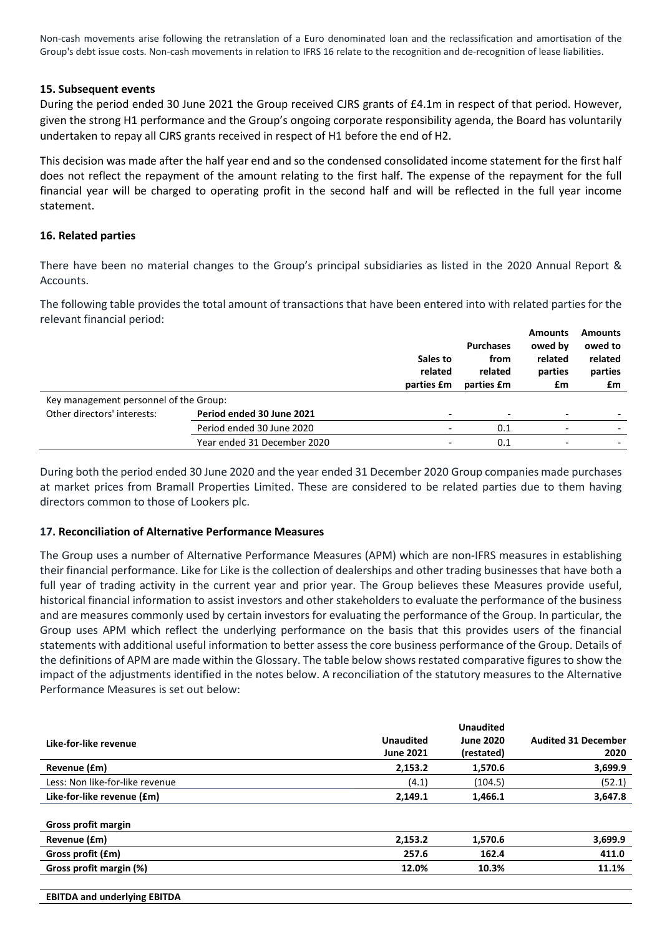Non-cash movements arise following the retranslation of a Euro denominated loan and the reclassification and amortisation of the Group's debt issue costs. Non-cash movements in relation to IFRS 16 relate to the recognition and de-recognition of lease liabilities.

### **15. Subsequent events**

During the period ended 30 June 2021 the Group received CJRS grants of £4.1m in respect of that period. However, given the strong H1 performance and the Group's ongoing corporate responsibility agenda, the Board has voluntarily undertaken to repay all CJRS grants received in respect of H1 before the end of H2.

This decision was made after the half year end and so the condensed consolidated income statement for the first half does not reflect the repayment of the amount relating to the first half. The expense of the repayment for the full financial year will be charged to operating profit in the second half and will be reflected in the full year income statement.

### **16. Related parties**

There have been no material changes to the Group's principal subsidiaries as listed in the 2020 Annual Report & Accounts.

The following table provides the total amount of transactions that have been entered into with related parties for the relevant financial period:

|                                        |                             | Sales to<br>related<br>parties £m | <b>Purchases</b><br>from<br>related<br>parties £m | <b>Amounts</b><br>owed by<br>related<br>parties<br>£m | <b>Amounts</b><br>owed to<br>related<br>parties<br>£m |
|----------------------------------------|-----------------------------|-----------------------------------|---------------------------------------------------|-------------------------------------------------------|-------------------------------------------------------|
| Key management personnel of the Group: |                             |                                   |                                                   |                                                       |                                                       |
| Other directors' interests:            | Period ended 30 June 2021   | $\overline{\phantom{0}}$          | $\blacksquare$                                    | $\overline{\phantom{0}}$                              |                                                       |
|                                        | Period ended 30 June 2020   | $\overline{\phantom{a}}$          | 0.1                                               |                                                       |                                                       |
|                                        | Year ended 31 December 2020 | $\overline{\phantom{a}}$          | 0.1                                               | $\overline{\phantom{0}}$                              |                                                       |

During both the period ended 30 June 2020 and the year ended 31 December 2020 Group companies made purchases at market prices from Bramall Properties Limited. These are considered to be related parties due to them having directors common to those of Lookers plc.

# **17. Reconciliation of Alternative Performance Measures**

The Group uses a number of Alternative Performance Measures (APM) which are non-IFRS measures in establishing their financial performance. Like for Like is the collection of dealerships and other trading businesses that have both a full year of trading activity in the current year and prior year. The Group believes these Measures provide useful, historical financial information to assist investors and other stakeholders to evaluate the performance of the business and are measures commonly used by certain investors for evaluating the performance of the Group. In particular, the Group uses APM which reflect the underlying performance on the basis that this provides users of the financial statements with additional useful information to better assess the core business performance of the Group. Details of the definitions of APM are made within the Glossary. The table below shows restated comparative figures to show the impact of the adjustments identified in the notes below. A reconciliation of the statutory measures to the Alternative Performance Measures is set out below:

| Like-for-like revenue           | <b>Unaudited</b><br><b>June 2021</b> | <b>Unaudited</b><br><b>June 2020</b><br>(restated) | <b>Audited 31 December</b><br>2020 |
|---------------------------------|--------------------------------------|----------------------------------------------------|------------------------------------|
| Revenue (£m)                    | 2,153.2                              | 1,570.6                                            | 3,699.9                            |
| Less: Non like-for-like revenue | (4.1)                                | (104.5)                                            | (52.1)                             |
| Like-for-like revenue (£m)      | 2,149.1                              | 1,466.1                                            | 3,647.8                            |
| Gross profit margin             |                                      |                                                    |                                    |
| Revenue (£m)                    | 2,153.2                              | 1,570.6                                            | 3,699.9                            |
| Gross profit (£m)               | 257.6                                | 162.4                                              | 411.0                              |
| Gross profit margin (%)         | 12.0%                                | 10.3%                                              | 11.1%                              |

**EBITDA and underlying EBITDA**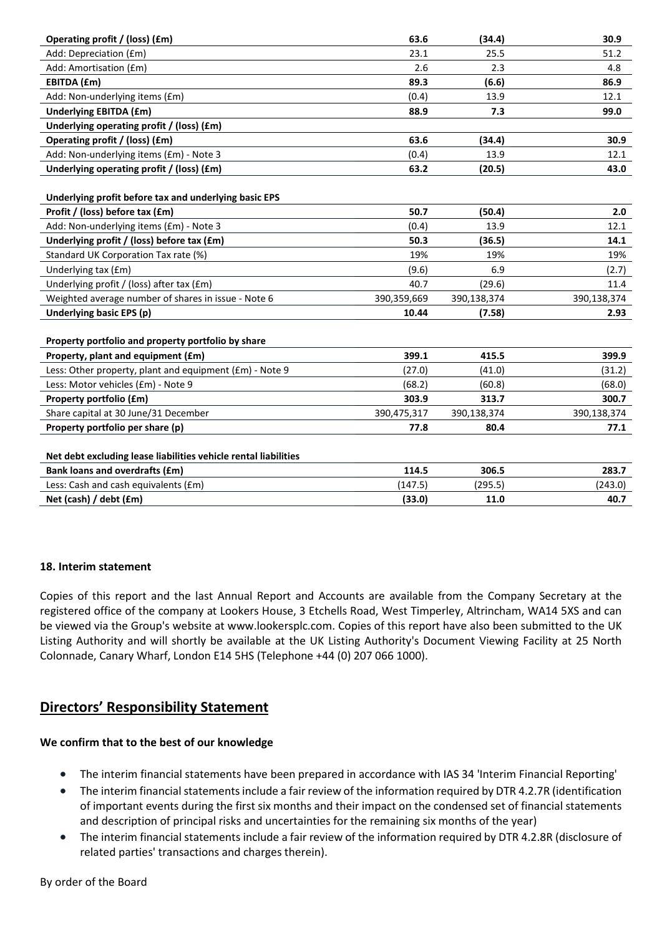| Operating profit / (loss) (£m)                                  | 63.6        | (34.4)      | 30.9        |
|-----------------------------------------------------------------|-------------|-------------|-------------|
| Add: Depreciation (£m)                                          | 23.1        | 25.5        | 51.2        |
| Add: Amortisation (£m)                                          | 2.6         | 2.3         | 4.8         |
| EBITDA (£m)                                                     | 89.3        | (6.6)       | 86.9        |
| Add: Non-underlying items (£m)                                  | (0.4)       | 13.9        | 12.1        |
| <b>Underlying EBITDA (£m)</b>                                   | 88.9        | 7.3         | 99.0        |
| Underlying operating profit / (loss) (£m)                       |             |             |             |
| Operating profit / (loss) (£m)                                  | 63.6        | (34.4)      | 30.9        |
| Add: Non-underlying items (£m) - Note 3                         | (0.4)       | 13.9        | 12.1        |
| Underlying operating profit / (loss) (£m)                       | 63.2        | (20.5)      | 43.0        |
|                                                                 |             |             |             |
| Underlying profit before tax and underlying basic EPS           |             |             |             |
| Profit / (loss) before tax (£m)                                 | 50.7        | (50.4)      | 2.0         |
| Add: Non-underlying items (£m) - Note 3                         | (0.4)       | 13.9        | 12.1        |
| Underlying profit / (loss) before tax (£m)                      | 50.3        | (36.5)      | 14.1        |
| Standard UK Corporation Tax rate (%)                            | 19%         | 19%         | 19%         |
| Underlying tax (£m)                                             | (9.6)       | 6.9         | (2.7)       |
| Underlying profit / (loss) after tax (£m)                       | 40.7        | (29.6)      | 11.4        |
| Weighted average number of shares in issue - Note 6             | 390,359,669 | 390,138,374 | 390,138,374 |
| Underlying basic EPS (p)                                        | 10.44       | (7.58)      | 2.93        |
|                                                                 |             |             |             |
| Property portfolio and property portfolio by share              |             |             |             |
| Property, plant and equipment (£m)                              | 399.1       | 415.5       | 399.9       |
| Less: Other property, plant and equipment (£m) - Note 9         | (27.0)      | (41.0)      | (31.2)      |
| Less: Motor vehicles (£m) - Note 9                              | (68.2)      | (60.8)      | (68.0)      |
| Property portfolio (£m)                                         | 303.9       | 313.7       | 300.7       |
| Share capital at 30 June/31 December                            | 390,475,317 | 390,138,374 | 390,138,374 |
| Property portfolio per share (p)                                | 77.8        | 80.4        | 77.1        |
|                                                                 |             |             |             |
| Net debt excluding lease liabilities vehicle rental liabilities |             |             |             |
| <b>Bank loans and overdrafts (£m)</b>                           | 114.5       | 306.5       | 283.7       |
| Less: Cash and cash equivalents (£m)                            | (147.5)     | (295.5)     | (243.0)     |
| Net (cash) / debt (£m)                                          | (33.0)      | 11.0        | 40.7        |

# **18. Interim statement**

Copies of this report and the last Annual Report and Accounts are available from the Company Secretary at the registered office of the company at Lookers House, 3 Etchells Road, West Timperley, Altrincham, WA14 5XS and can be viewed via the Group's website at www.lookersplc.com. Copies of this report have also been submitted to the UK Listing Authority and will shortly be available at the UK Listing Authority's Document Viewing Facility at 25 North Colonnade, Canary Wharf, London E14 5HS (Telephone +44 (0) 207 066 1000).

# **Directors' Responsibility Statement**

# **We confirm that to the best of our knowledge**

- The interim financial statements have been prepared in accordance with IAS 34 'Interim Financial Reporting'
- The interim financial statements include a fair review of the information required by DTR 4.2.7R (identification of important events during the first six months and their impact on the condensed set of financial statements and description of principal risks and uncertainties for the remaining six months of the year)
- The interim financial statements include a fair review of the information required by DTR 4.2.8R (disclosure of related parties' transactions and charges therein).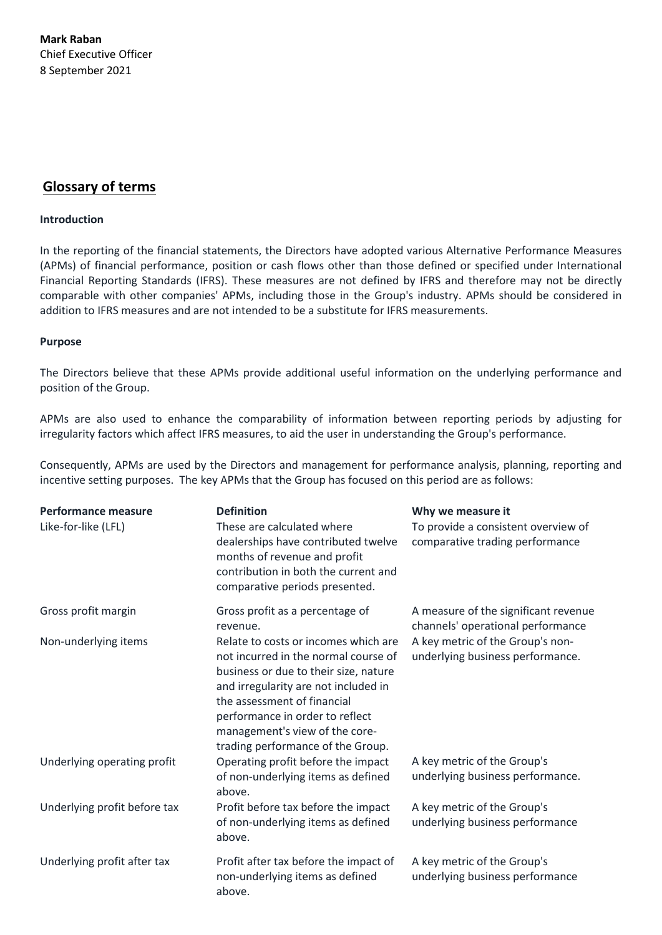**Mark Raban** Chief Executive Officer 8 September 2021

# **Glossary of terms**

### **Introduction**

In the reporting of the financial statements, the Directors have adopted various Alternative Performance Measures (APMs) of financial performance, position or cash flows other than those defined or specified under International Financial Reporting Standards (IFRS). These measures are not defined by IFRS and therefore may not be directly comparable with other companies' APMs, including those in the Group's industry. APMs should be considered in addition to IFRS measures and are not intended to be a substitute for IFRS measurements.

### **Purpose**

The Directors believe that these APMs provide additional useful information on the underlying performance and position of the Group.

APMs are also used to enhance the comparability of information between reporting periods by adjusting for irregularity factors which affect IFRS measures, to aid the user in understanding the Group's performance.

Consequently, APMs are used by the Directors and management for performance analysis, planning, reporting and incentive setting purposes. The key APMs that the Group has focused on this period are as follows:

| <b>Performance measure</b><br>Like-for-like (LFL) | <b>Definition</b><br>These are calculated where<br>dealerships have contributed twelve<br>months of revenue and profit<br>contribution in both the current and<br>comparative periods presented.                                                                                                       | Why we measure it<br>To provide a consistent overview of<br>comparative trading performance |
|---------------------------------------------------|--------------------------------------------------------------------------------------------------------------------------------------------------------------------------------------------------------------------------------------------------------------------------------------------------------|---------------------------------------------------------------------------------------------|
| Gross profit margin                               | Gross profit as a percentage of<br>revenue.                                                                                                                                                                                                                                                            | A measure of the significant revenue<br>channels' operational performance                   |
| Non-underlying items                              | Relate to costs or incomes which are<br>not incurred in the normal course of<br>business or due to their size, nature<br>and irregularity are not included in<br>the assessment of financial<br>performance in order to reflect<br>management's view of the core-<br>trading performance of the Group. | A key metric of the Group's non-<br>underlying business performance.                        |
| Underlying operating profit                       | Operating profit before the impact<br>of non-underlying items as defined<br>above.                                                                                                                                                                                                                     | A key metric of the Group's<br>underlying business performance.                             |
| Underlying profit before tax                      | Profit before tax before the impact<br>of non-underlying items as defined<br>above.                                                                                                                                                                                                                    | A key metric of the Group's<br>underlying business performance                              |
| Underlying profit after tax                       | Profit after tax before the impact of<br>non-underlying items as defined<br>above.                                                                                                                                                                                                                     | A key metric of the Group's<br>underlying business performance                              |